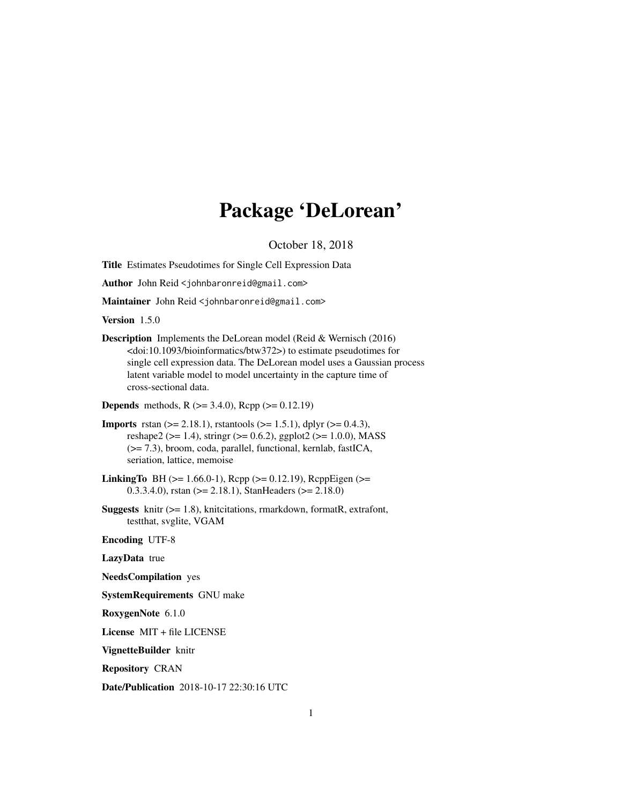# Package 'DeLorean'

October 18, 2018

Title Estimates Pseudotimes for Single Cell Expression Data

Author John Reid <johnbaronreid@gmail.com>

Maintainer John Reid <johnbaronreid@gmail.com>

Version 1.5.0

Description Implements the DeLorean model (Reid & Wernisch (2016) <doi:10.1093/bioinformatics/btw372>) to estimate pseudotimes for single cell expression data. The DeLorean model uses a Gaussian process latent variable model to model uncertainty in the capture time of cross-sectional data.

**Depends** methods, R  $(>= 3.4.0)$ , Rcpp  $(>= 0.12.19)$ 

- **Imports** rstan ( $>= 2.18.1$ ), rstantools ( $>= 1.5.1$ ), dplyr ( $>= 0.4.3$ ), reshape2 ( $> = 1.4$ ), stringr ( $> = 0.6.2$ ), ggplot2 ( $> = 1.0.0$ ), MASS (>= 7.3), broom, coda, parallel, functional, kernlab, fastICA, seriation, lattice, memoise
- **LinkingTo** BH ( $>= 1.66.0-1$ ), Rcpp ( $>= 0.12.19$ ), RcppEigen ( $>= 1.66.0-1$ ) 0.3.3.4.0), rstan ( $>= 2.18.1$ ), StanHeaders ( $>= 2.18.0$ )
- Suggests knitr (>= 1.8), knitcitations, rmarkdown, formatR, extrafont, testthat, svglite, VGAM

Encoding UTF-8

LazyData true

NeedsCompilation yes

SystemRequirements GNU make

RoxygenNote 6.1.0

License MIT + file LICENSE

VignetteBuilder knitr

Repository CRAN

Date/Publication 2018-10-17 22:30:16 UTC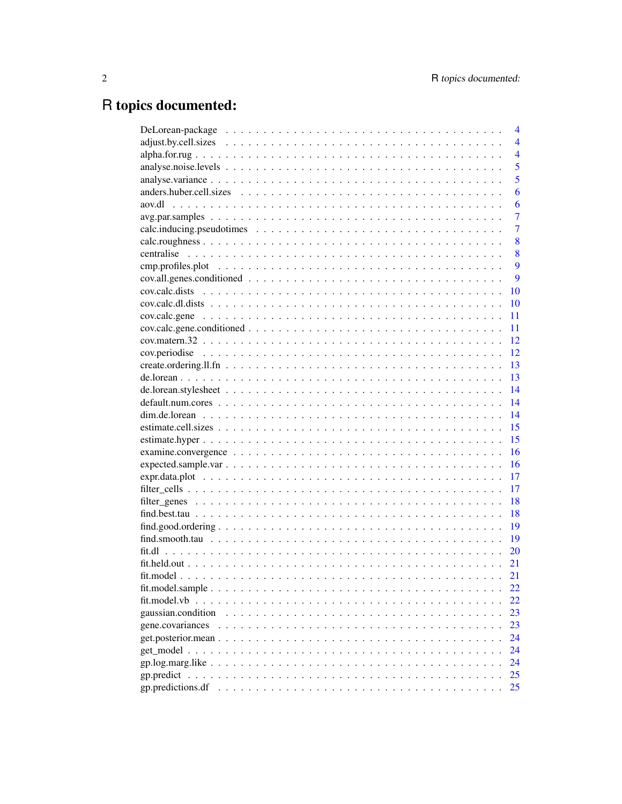## R topics documented:

|                                                                                                                                                     | 4              |
|-----------------------------------------------------------------------------------------------------------------------------------------------------|----------------|
|                                                                                                                                                     | $\overline{4}$ |
|                                                                                                                                                     | $\overline{4}$ |
|                                                                                                                                                     | 5              |
|                                                                                                                                                     | 5              |
|                                                                                                                                                     | 6              |
| aov.dl                                                                                                                                              | 6              |
|                                                                                                                                                     | $\overline{7}$ |
|                                                                                                                                                     | $\overline{7}$ |
|                                                                                                                                                     | 8              |
|                                                                                                                                                     | 8              |
|                                                                                                                                                     | 9              |
|                                                                                                                                                     | 9              |
|                                                                                                                                                     | 10             |
|                                                                                                                                                     | 10             |
|                                                                                                                                                     | 11             |
| $cov. \text{calc.} \text{gene.} \text{conditioned} \dots \dots \dots \dots \dots \dots \dots \dots \dots \dots \dots \dots \dots \dots \dots \dots$ | 11             |
|                                                                                                                                                     | 12             |
|                                                                                                                                                     |                |
|                                                                                                                                                     | 13             |
|                                                                                                                                                     | 13             |
|                                                                                                                                                     | 14             |
|                                                                                                                                                     | 14             |
|                                                                                                                                                     | 14             |
|                                                                                                                                                     | 15             |
|                                                                                                                                                     | 15             |
|                                                                                                                                                     | 16             |
|                                                                                                                                                     | 16             |
|                                                                                                                                                     | 17             |
|                                                                                                                                                     | 17             |
|                                                                                                                                                     | 18             |
|                                                                                                                                                     | 18             |
|                                                                                                                                                     | 19             |
|                                                                                                                                                     | 19             |
|                                                                                                                                                     | 20             |
|                                                                                                                                                     |                |
|                                                                                                                                                     | 21             |
|                                                                                                                                                     | 22             |
| fit.model.vb                                                                                                                                        | 22             |
| gaussian.condition                                                                                                                                  | 23             |
| gene.covariances                                                                                                                                    | 23             |
|                                                                                                                                                     | 24             |
|                                                                                                                                                     | 24             |
|                                                                                                                                                     | 24             |
|                                                                                                                                                     | 25             |
| gp.predictions.df                                                                                                                                   | 25             |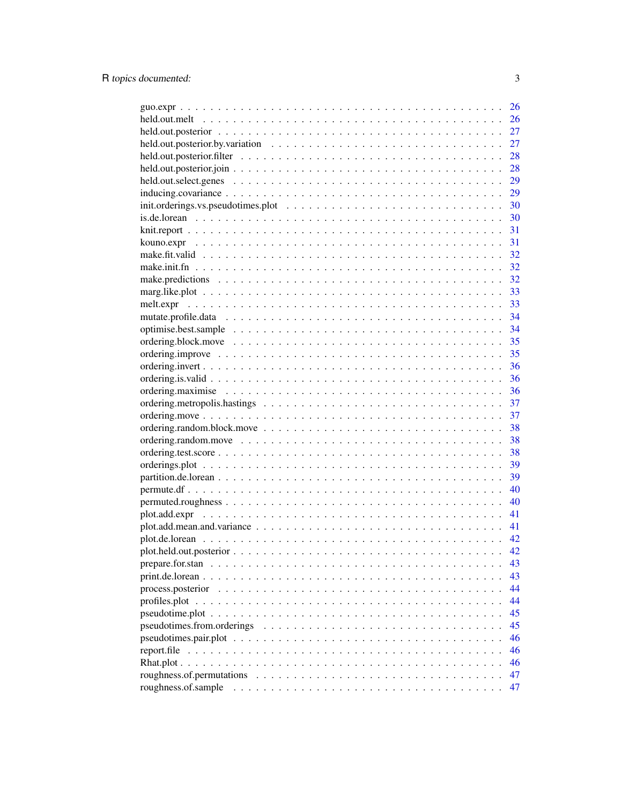| 26 |
|----|
| 26 |
| 27 |
| 27 |
| 28 |
| 28 |
| 29 |
| 29 |
| 30 |
| 30 |
| 31 |
| 31 |
| 32 |
| 32 |
| 32 |
| 33 |
|    |
|    |
| 34 |
| 35 |
| 35 |
| 36 |
| 36 |
| 36 |
| 37 |
| 37 |
|    |
| 38 |
| 38 |
| 38 |
| 39 |
| 39 |
| 40 |
| 40 |
| 41 |
| 41 |
| 42 |
| 42 |
| 43 |
| 43 |
| 44 |
| 44 |
| 45 |
| 45 |
| 46 |
| 46 |
| 46 |
| 47 |
| 47 |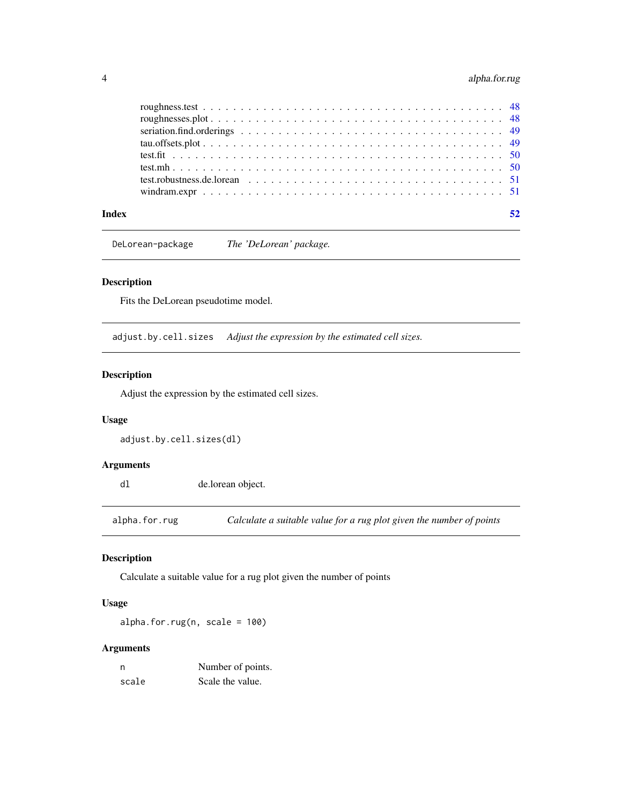## <span id="page-3-0"></span>4 alpha.for.rug

#### **Index** [52](#page-51-0)

DeLorean-package *The 'DeLorean' package.*

## Description

Fits the DeLorean pseudotime model.

adjust.by.cell.sizes *Adjust the expression by the estimated cell sizes.*

#### Description

Adjust the expression by the estimated cell sizes.

## Usage

adjust.by.cell.sizes(dl)

#### Arguments

dl de.lorean object.

alpha.for.rug *Calculate a suitable value for a rug plot given the number of points*

## Description

Calculate a suitable value for a rug plot given the number of points

## Usage

alpha.for.rug(n, scale =  $100$ )

| n     | Number of points. |
|-------|-------------------|
| scale | Scale the value.  |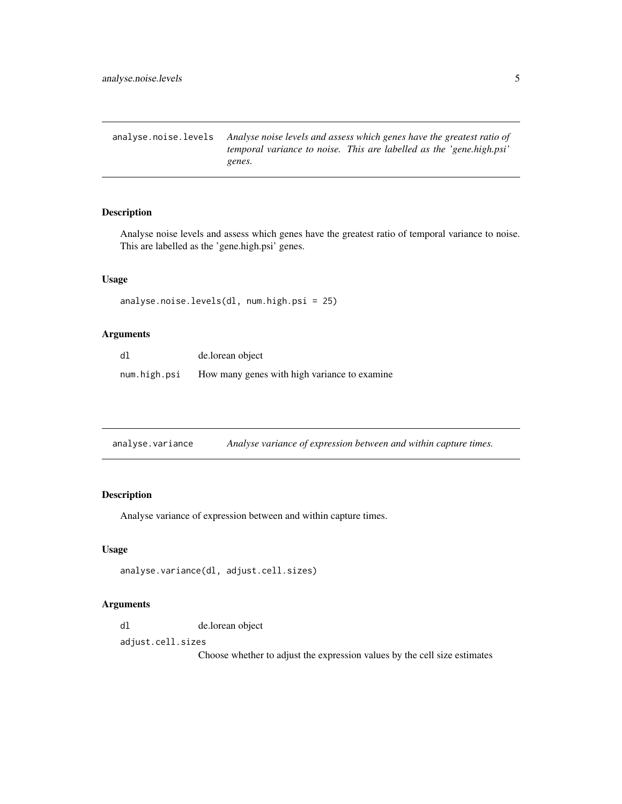<span id="page-4-0"></span>analyse.noise.levels *Analyse noise levels and assess which genes have the greatest ratio of temporal variance to noise. This are labelled as the 'gene.high.psi' genes.*

#### Description

Analyse noise levels and assess which genes have the greatest ratio of temporal variance to noise. This are labelled as the 'gene.high.psi' genes.

## Usage

```
analyse.noise.levels(dl, num.high.psi = 25)
```
#### Arguments

| dl.          | de.lorean object                             |
|--------------|----------------------------------------------|
| num.high.psi | How many genes with high variance to examine |

| analyse.variance |  | Analyse variance of expression between and within capture times. |
|------------------|--|------------------------------------------------------------------|
|                  |  |                                                                  |

## Description

Analyse variance of expression between and within capture times.

#### Usage

```
analyse.variance(dl, adjust.cell.sizes)
```
#### Arguments

dl de.lorean object

adjust.cell.sizes

Choose whether to adjust the expression values by the cell size estimates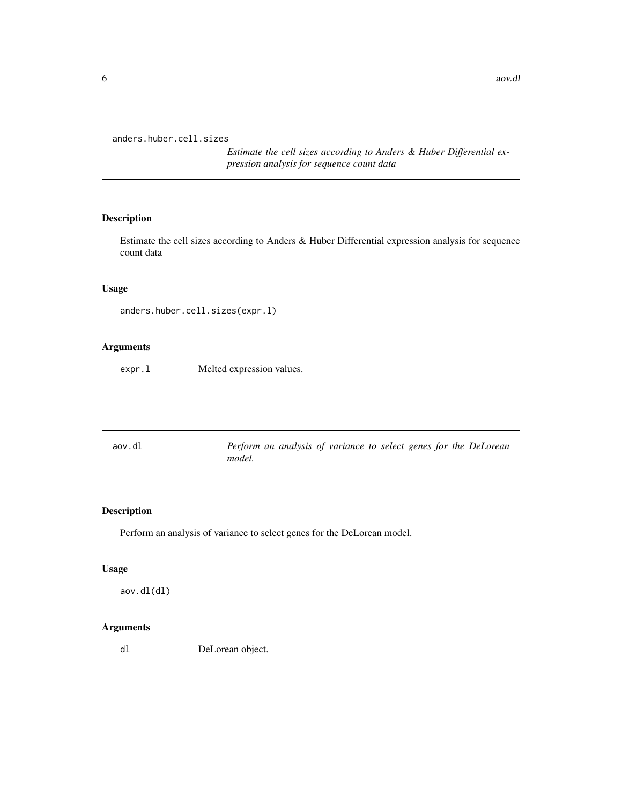<span id="page-5-0"></span>anders.huber.cell.sizes

*Estimate the cell sizes according to Anders & Huber Differential expression analysis for sequence count data*

## Description

Estimate the cell sizes according to Anders & Huber Differential expression analysis for sequence count data

#### Usage

```
anders.huber.cell.sizes(expr.l)
```
#### Arguments

expr.l Melted expression values.

| Perform an analysis of variance to select genes for the DeLorean<br>aov.dl<br>model. |  |  |  |  |  |  |  |  |  |
|--------------------------------------------------------------------------------------|--|--|--|--|--|--|--|--|--|
|--------------------------------------------------------------------------------------|--|--|--|--|--|--|--|--|--|

## Description

Perform an analysis of variance to select genes for the DeLorean model.

## Usage

aov.dl(dl)

## Arguments

dl DeLorean object.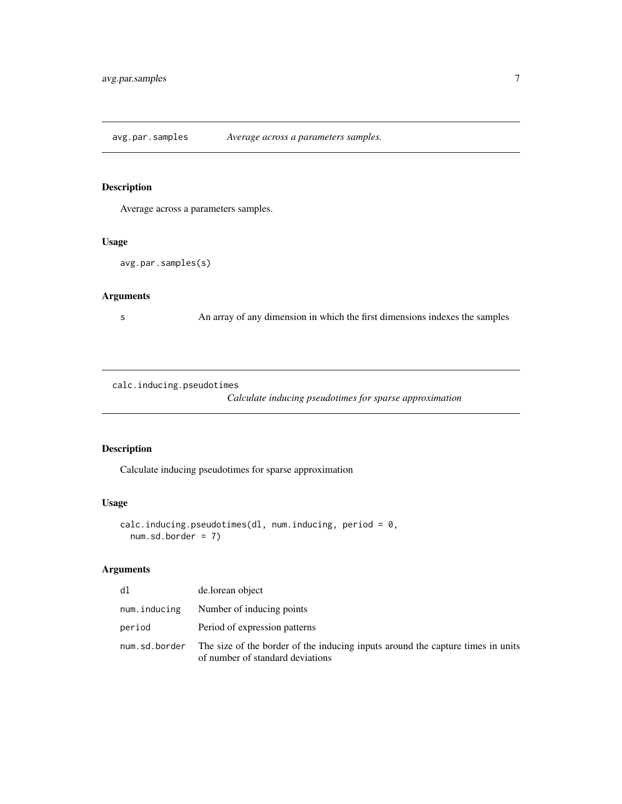<span id="page-6-0"></span>avg.par.samples *Average across a parameters samples.*

## Description

Average across a parameters samples.

#### Usage

```
avg.par.samples(s)
```
## Arguments

s An array of any dimension in which the first dimensions indexes the samples

calc.inducing.pseudotimes

*Calculate inducing pseudotimes for sparse approximation*

#### Description

Calculate inducing pseudotimes for sparse approximation

## Usage

```
calc.inducing.pseudotimes(dl, num.inducing, period = 0,
 num.sd.border = 7)
```

| dl           | de.lorean object                                                                                                                    |
|--------------|-------------------------------------------------------------------------------------------------------------------------------------|
| num.inducing | Number of inducing points                                                                                                           |
| period       | Period of expression patterns                                                                                                       |
|              | num, sd, border The size of the border of the inducing inputs around the capture times in units<br>of number of standard deviations |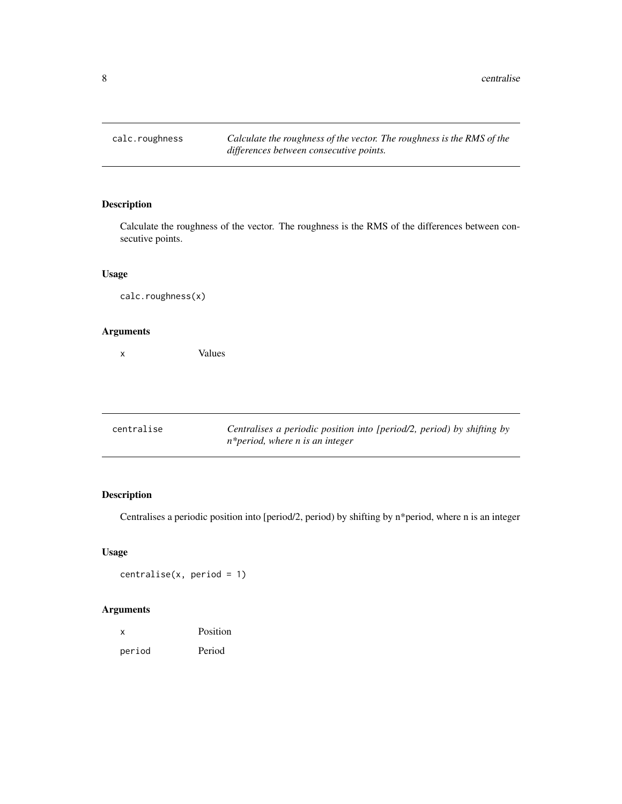<span id="page-7-0"></span>calc.roughness *Calculate the roughness of the vector. The roughness is the RMS of the differences between consecutive points.*

## Description

Calculate the roughness of the vector. The roughness is the RMS of the differences between consecutive points.

#### Usage

calc.roughness(x)

#### Arguments

x Values

| centralise | Centralises a periodic position into [period/2, period) by shifting by |
|------------|------------------------------------------------------------------------|
|            | n*period, where n is an integer                                        |

## Description

Centralises a periodic position into [period/2, period) by shifting by n\*period, where n is an integer

## Usage

centralise(x, period = 1)

| x      | Position |
|--------|----------|
| period | Period   |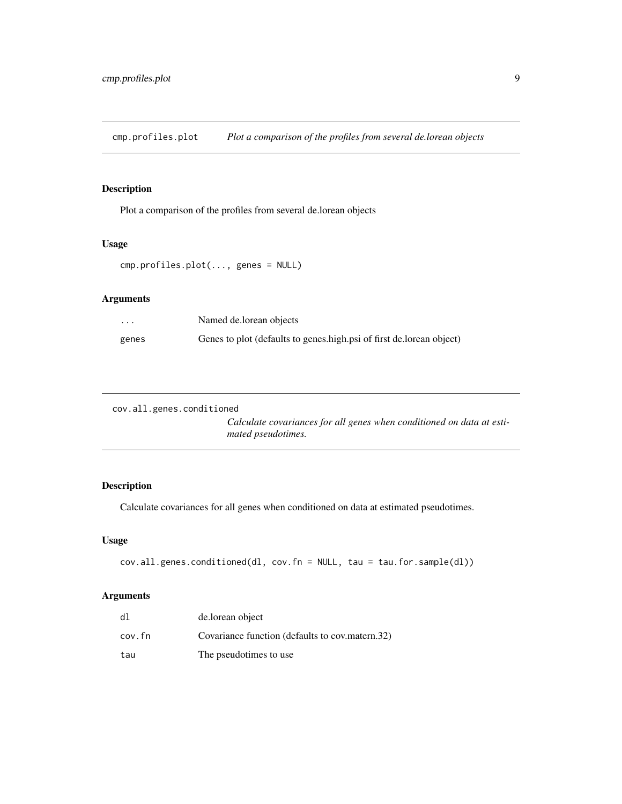<span id="page-8-0"></span>cmp.profiles.plot *Plot a comparison of the profiles from several de.lorean objects*

## Description

Plot a comparison of the profiles from several de.lorean objects

## Usage

```
cmp.profiles.plot(..., genes = NULL)
```
## Arguments

| $\cdot$ $\cdot$ $\cdot$ | Named de.lorean objects                                              |
|-------------------------|----------------------------------------------------------------------|
| genes                   | Genes to plot (defaults to genes.high.psi of first de.lorean object) |

```
cov.all.genes.conditioned
```
*Calculate covariances for all genes when conditioned on data at estimated pseudotimes.*

## Description

Calculate covariances for all genes when conditioned on data at estimated pseudotimes.

## Usage

```
cov.all.genes.conditioned(dl, cov.fn = NULL, tau = tau.for.sample(dl))
```

| dl     | de.lorean object                                |
|--------|-------------------------------------------------|
| cov.fn | Covariance function (defaults to cov.matern.32) |
| tau    | The pseudotimes to use                          |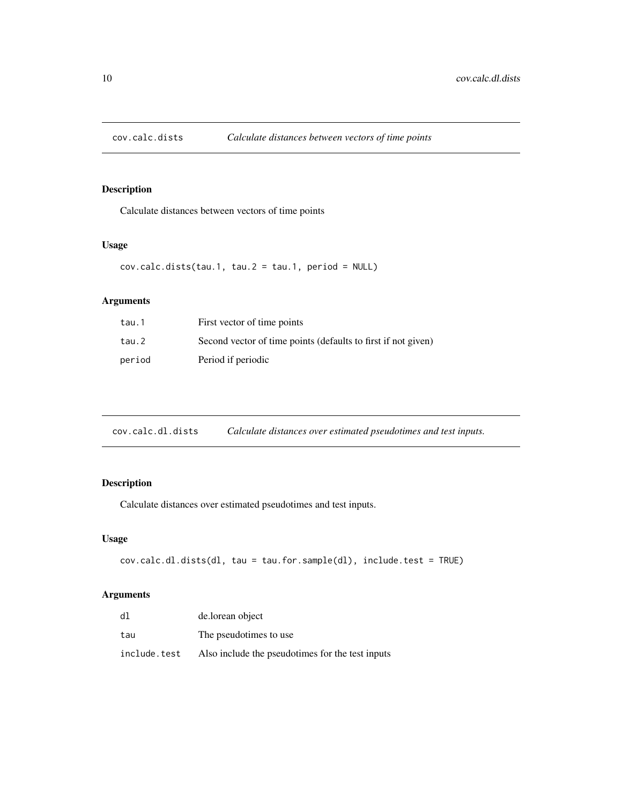<span id="page-9-0"></span>

Calculate distances between vectors of time points

## Usage

```
cov.calc.dists(tau.1, tau.2 = tau.1, period = NULL)
```
## Arguments

| tau.1  | First vector of time points                                   |
|--------|---------------------------------------------------------------|
| tau.2  | Second vector of time points (defaults to first if not given) |
| period | Period if periodic                                            |

cov.calc.dl.dists *Calculate distances over estimated pseudotimes and test inputs.*

## Description

Calculate distances over estimated pseudotimes and test inputs.

## Usage

```
cov.calc.dl.dists(dl, tau = tau.for.sample(dl), include.test = TRUE)
```

| dl           | de.lorean object                                 |
|--------------|--------------------------------------------------|
| tau          | The pseudotimes to use.                          |
| include.test | Also include the pseudotimes for the test inputs |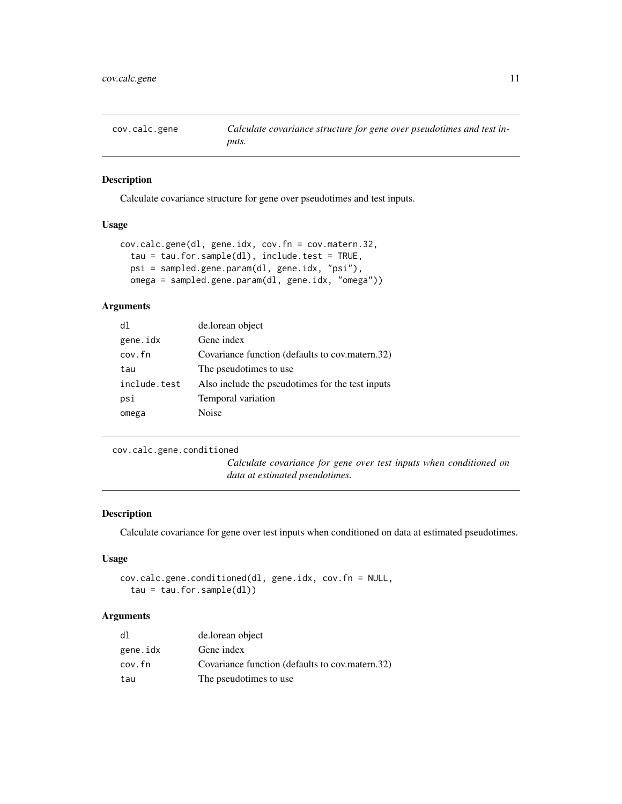<span id="page-10-0"></span>

Calculate covariance structure for gene over pseudotimes and test inputs.

## Usage

```
cov.calc.gene(dl, gene.idx, cov.fn = cov.matern.32,
  tau = tau.for.sample(dl), include.test = TRUE,
 psi = sampled.gene.param(dl, gene.idx, "psi"),
 omega = sampled.gene.param(dl, gene.idx, "omega"))
```
## Arguments

| dl           | de.lorean object                                 |
|--------------|--------------------------------------------------|
| gene.idx     | Gene index                                       |
| cov.fn       | Covariance function (defaults to cov.matern.32)  |
| tau          | The pseudotimes to use.                          |
| include.test | Also include the pseudotimes for the test inputs |
| psi          | Temporal variation                               |
| omega        | Noise                                            |

cov.calc.gene.conditioned

*Calculate covariance for gene over test inputs when conditioned on data at estimated pseudotimes.*

## Description

Calculate covariance for gene over test inputs when conditioned on data at estimated pseudotimes.

## Usage

```
cov.calc.gene.conditioned(dl, gene.idx, cov.fn = NULL,
  tau = tau.for.sample(d1))
```

| dl       | de.lorean object                                |
|----------|-------------------------------------------------|
| gene.idx | Gene index                                      |
| cov.fn   | Covariance function (defaults to cov.matern.32) |
| tau      | The pseudotimes to use                          |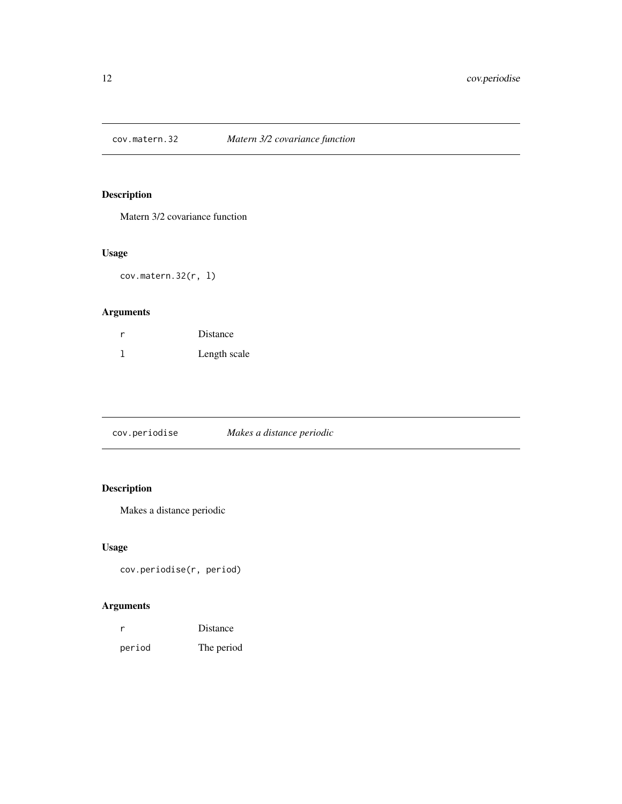<span id="page-11-0"></span>

Matern 3/2 covariance function

## Usage

cov.matern.32(r, l)

## Arguments

| Distance     |
|--------------|
| Length scale |

cov.periodise *Makes a distance periodic*

## Description

Makes a distance periodic

## Usage

cov.periodise(r, period)

|        | Distance   |
|--------|------------|
| period | The period |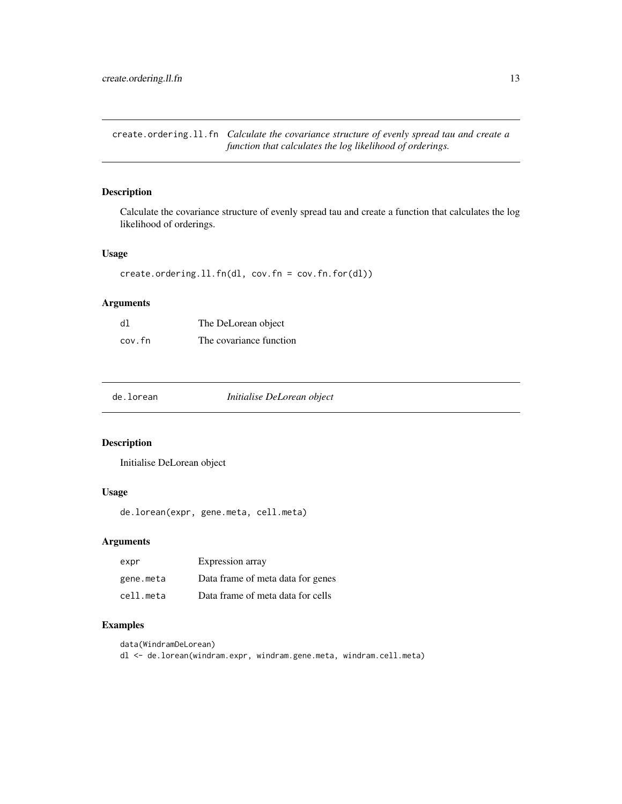<span id="page-12-0"></span>create.ordering.ll.fn *Calculate the covariance structure of evenly spread tau and create a function that calculates the log likelihood of orderings.*

## Description

Calculate the covariance structure of evenly spread tau and create a function that calculates the log likelihood of orderings.

#### Usage

create.ordering.ll.fn(dl, cov.fn = cov.fn.for(dl))

#### Arguments

| dl     | The DeLorean object     |
|--------|-------------------------|
| cov.fn | The covariance function |

de.lorean *Initialise DeLorean object*

#### Description

Initialise DeLorean object

#### Usage

de.lorean(expr, gene.meta, cell.meta)

#### Arguments

| expr      | Expression array                  |
|-----------|-----------------------------------|
| gene.meta | Data frame of meta data for genes |
| cell.meta | Data frame of meta data for cells |

#### Examples

data(WindramDeLorean)

dl <- de.lorean(windram.expr, windram.gene.meta, windram.cell.meta)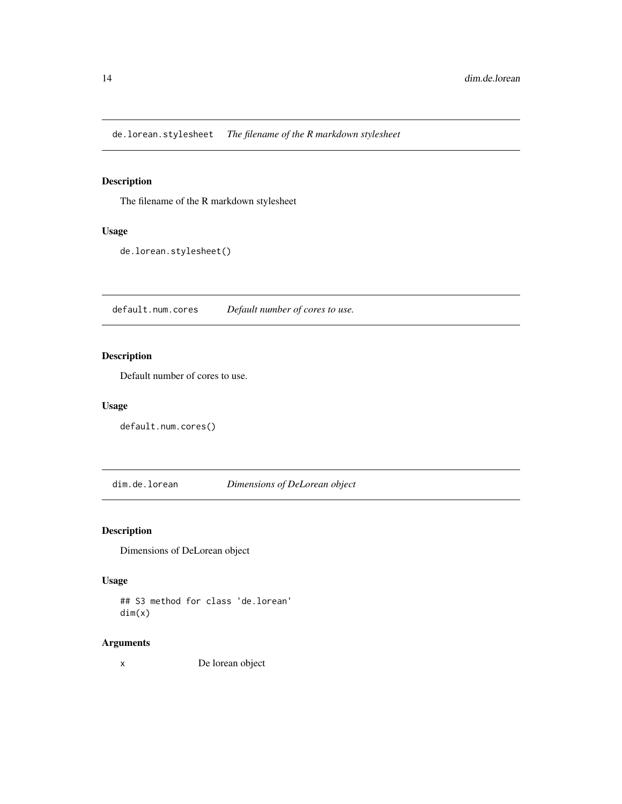<span id="page-13-0"></span>de.lorean.stylesheet *The filename of the R markdown stylesheet*

## Description

The filename of the R markdown stylesheet

## Usage

de.lorean.stylesheet()

default.num.cores *Default number of cores to use.*

## Description

Default number of cores to use.

#### Usage

```
default.num.cores()
```
dim.de.lorean *Dimensions of DeLorean object*

## Description

Dimensions of DeLorean object

## Usage

## S3 method for class 'de.lorean' dim(x)

#### Arguments

x De lorean object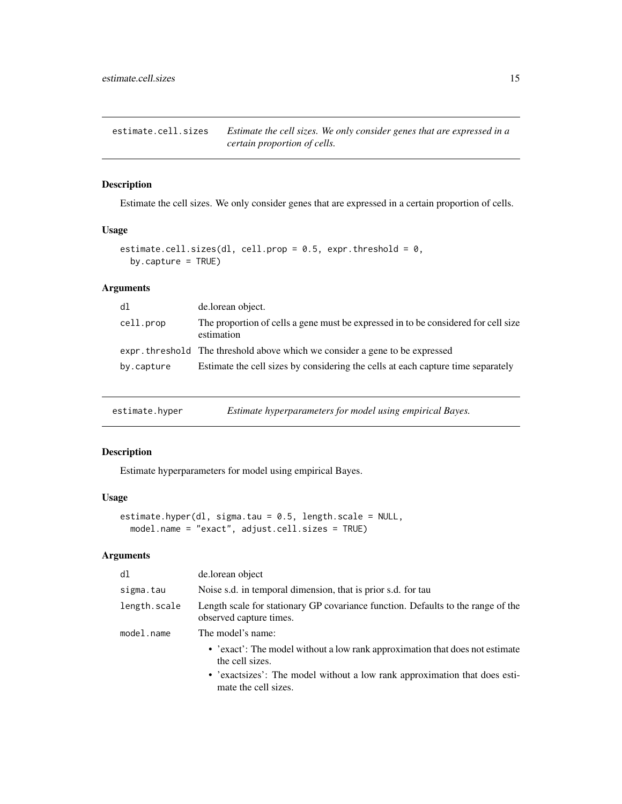<span id="page-14-0"></span>estimate.cell.sizes *Estimate the cell sizes. We only consider genes that are expressed in a certain proportion of cells.*

## Description

Estimate the cell sizes. We only consider genes that are expressed in a certain proportion of cells.

#### Usage

```
estimate.cell.sizes(dl, cell.prop = 0.5, expr.threshold = 0,
 by.capture = TRUE)
```
## Arguments

| d1         | de.lorean object.                                                                                |
|------------|--------------------------------------------------------------------------------------------------|
| cell.prop  | The proportion of cells a gene must be expressed in to be considered for cell size<br>estimation |
|            | expr. threshold The threshold above which we consider a gene to be expressed                     |
| by.capture | Estimate the cell sizes by considering the cells at each capture time separately                 |

estimate.hyper *Estimate hyperparameters for model using empirical Bayes.*

## Description

Estimate hyperparameters for model using empirical Bayes.

## Usage

```
estimate.hyper(dl, sigma.tau = 0.5, length.scale = NULL,
 model.name = "exact", adjust.cell.sizes = TRUE)
```

| d1           | de.lorean object                                                                                            |
|--------------|-------------------------------------------------------------------------------------------------------------|
| sigma.tau    | Noise s.d. in temporal dimension, that is prior s.d. for tau                                                |
| length.scale | Length scale for stationary GP covariance function. Defaults to the range of the<br>observed capture times. |
| model.name   | The model's name:                                                                                           |
|              | • 'exact': The model without a low rank approximation that does not estimate<br>the cell sizes.             |
|              | • 'exactsizes': The model without a low rank approximation that does esti-<br>mate the cell sizes.          |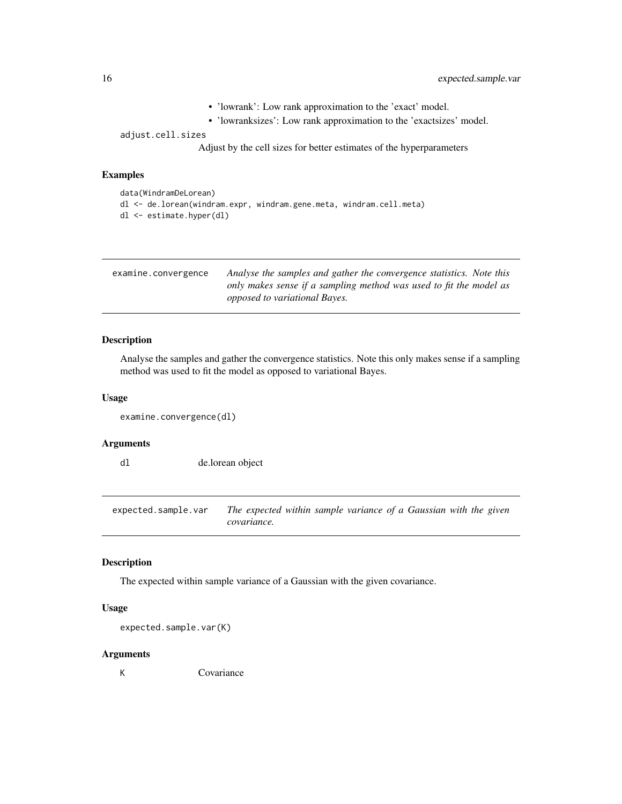- 'lowrank': Low rank approximation to the 'exact' model.
- 'lowranksizes': Low rank approximation to the 'exactsizes' model.

<span id="page-15-0"></span>adjust.cell.sizes

Adjust by the cell sizes for better estimates of the hyperparameters

#### Examples

```
data(WindramDeLorean)
dl <- de.lorean(windram.expr, windram.gene.meta, windram.cell.meta)
dl <- estimate.hyper(dl)
```
<span id="page-15-1"></span>

| examine.convergence | Analyse the samples and gather the convergence statistics. Note this |
|---------------------|----------------------------------------------------------------------|
|                     | only makes sense if a sampling method was used to fit the model as   |
|                     | <i>opposed to variational Bayes.</i>                                 |

#### Description

Analyse the samples and gather the convergence statistics. Note this only makes sense if a sampling method was used to fit the model as opposed to variational Bayes.

#### Usage

```
examine.convergence(dl)
```
#### Arguments

dl de.lorean object

expected.sample.var *The expected within sample variance of a Gaussian with the given covariance.*

#### Description

The expected within sample variance of a Gaussian with the given covariance.

## Usage

```
expected.sample.var(K)
```
#### Arguments

K Covariance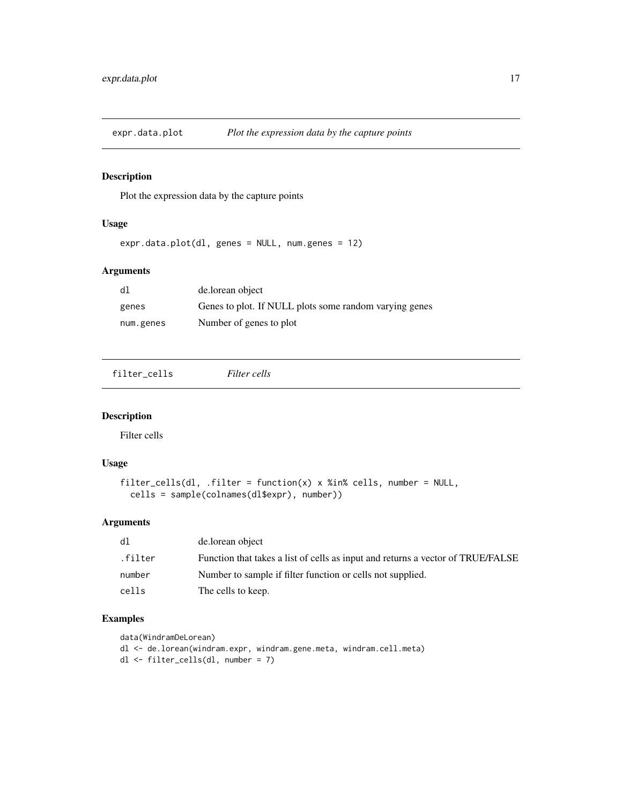<span id="page-16-1"></span><span id="page-16-0"></span>

Plot the expression data by the capture points

## Usage

expr.data.plot(dl, genes = NULL, num.genes = 12)

#### Arguments

| dl.       | de.lorean object                                       |
|-----------|--------------------------------------------------------|
| genes     | Genes to plot. If NULL plots some random varying genes |
| num.genes | Number of genes to plot                                |

filter\_cells *Filter cells*

#### Description

Filter cells

#### Usage

```
filter_cells(dl, .filter = function(x) x %in% cells, number = NULL,
 cells = sample(colnames(dl$expr), number))
```
## Arguments

| dl      | de.lorean object                                                                |
|---------|---------------------------------------------------------------------------------|
| .filter | Function that takes a list of cells as input and returns a vector of TRUE/FALSE |
| number  | Number to sample if filter function or cells not supplied.                      |
| cells   | The cells to keep.                                                              |

## Examples

```
data(WindramDeLorean)
dl <- de.lorean(windram.expr, windram.gene.meta, windram.cell.meta)
dl <- filter_cells(dl, number = 7)
```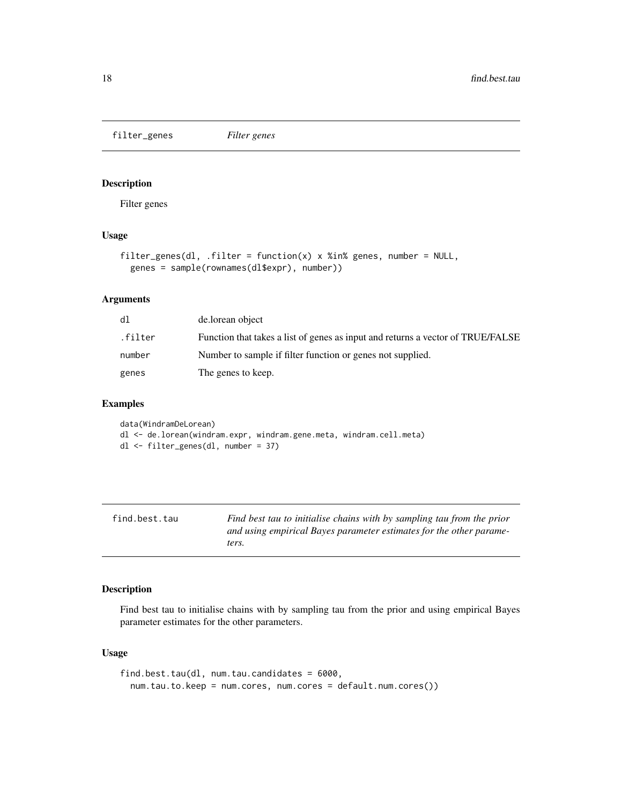<span id="page-17-0"></span>filter\_genes *Filter genes*

## Description

Filter genes

## Usage

```
filter_genes(dl, .filter = function(x) x %in% genes, number = NULL,
  genes = sample(rownames(dl$expr), number))
```
## Arguments

| dl      | de.lorean object                                                                |
|---------|---------------------------------------------------------------------------------|
| .filter | Function that takes a list of genes as input and returns a vector of TRUE/FALSE |
| number  | Number to sample if filter function or genes not supplied.                      |
| genes   | The genes to keep.                                                              |

#### Examples

data(WindramDeLorean) dl <- de.lorean(windram.expr, windram.gene.meta, windram.cell.meta) dl <- filter\_genes(dl, number = 37)

| find.best.tau | Find best tau to initialise chains with by sampling tau from the prior |
|---------------|------------------------------------------------------------------------|
|               | and using empirical Bayes parameter estimates for the other parame-    |
|               | ters.                                                                  |

#### Description

Find best tau to initialise chains with by sampling tau from the prior and using empirical Bayes parameter estimates for the other parameters.

#### Usage

```
find.best.tau(dl, num.tau.candidates = 6000,
  num.tau.to.keep = num.cores, num.cores = default.num.cores())
```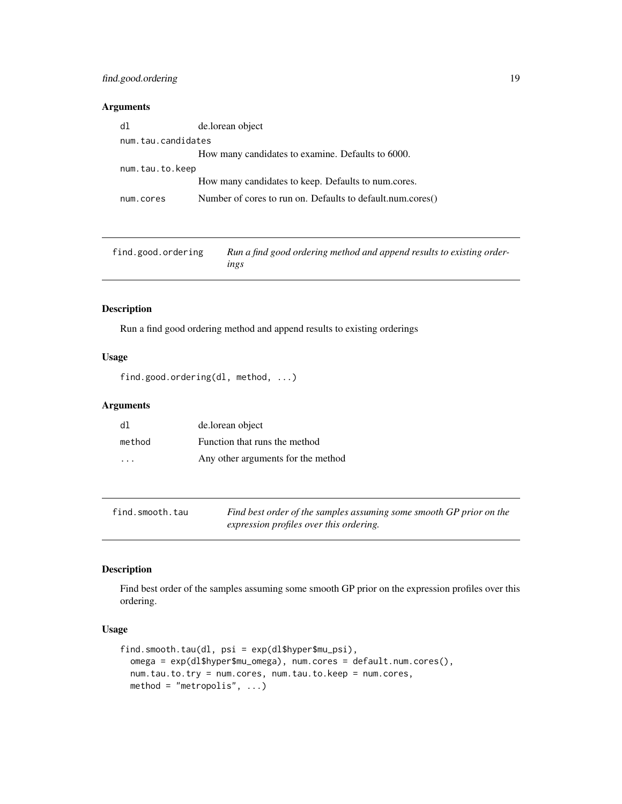## <span id="page-18-0"></span>find.good.ordering 19

#### Arguments

| dl                 | de.lorean object                                           |
|--------------------|------------------------------------------------------------|
| num.tau.candidates |                                                            |
|                    | How many candidates to examine. Defaults to 6000.          |
| num.tau.to.keep    |                                                            |
|                    | How many candidates to keep. Defaults to num.cores.        |
| num.cores          | Number of cores to run on. Defaults to default.num.cores() |

| find.good.ordering | Run a find good ordering method and append results to existing order- |
|--------------------|-----------------------------------------------------------------------|
|                    | ings                                                                  |

## Description

Run a find good ordering method and append results to existing orderings

## Usage

```
find.good.ordering(dl, method, ...)
```
## Arguments

| d1      | de.lorean object                   |
|---------|------------------------------------|
| method  | Function that runs the method      |
| $\cdot$ | Any other arguments for the method |

| find.smooth.tau | Find best order of the samples assuming some smooth GP prior on the |
|-----------------|---------------------------------------------------------------------|
|                 | expression profiles over this ordering.                             |

## Description

Find best order of the samples assuming some smooth GP prior on the expression profiles over this ordering.

#### Usage

```
find.smooth.tau(dl, psi = exp(dl$hyper$mu_psi),
 omega = exp(dl$hyper$mu_omega), num.cores = default.num.cores(),
 num.tau.to.try = num.cores, num.tau.to.keep = num.cores,
 method = "metropolis", ...)
```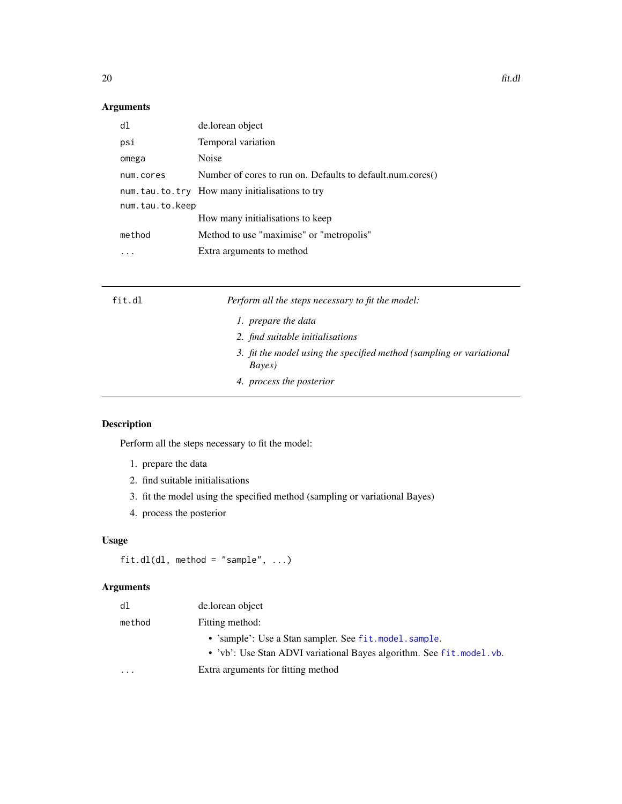## <span id="page-19-0"></span>Arguments

| dl              | de.lorean object                                           |  |
|-----------------|------------------------------------------------------------|--|
| psi             | Temporal variation                                         |  |
| omega           | Noise                                                      |  |
| num.cores       | Number of cores to run on. Defaults to default.num.cores() |  |
|                 | num.tau.to.try How many initialisations to try             |  |
| num.tau.to.keep |                                                            |  |
|                 | How many initialisations to keep                           |  |
| method          | Method to use "maximise" or "metropolis"                   |  |
|                 | Extra arguments to method                                  |  |

| fit.dl | Perform all the steps necessary to fit the model:                                      |
|--------|----------------------------------------------------------------------------------------|
|        | 1. prepare the data                                                                    |
|        | 2. find suitable initialisations                                                       |
|        | 3. fit the model using the specified method (sampling or variational<br><i>Bayes</i> ) |
|        | 4. process the posterior                                                               |

## Description

Perform all the steps necessary to fit the model:

- 1. prepare the data
- 2. find suitable initialisations
- 3. fit the model using the specified method (sampling or variational Bayes)
- 4. process the posterior

## Usage

```
fit.dl(dl, method = "sample", \dots)
```

| dl                      | de.lorean object                                                                                                                  |
|-------------------------|-----------------------------------------------------------------------------------------------------------------------------------|
| method                  | Fitting method:                                                                                                                   |
|                         | • 'sample': Use a Stan sampler. See fit. model. sample.<br>• 'vb': Use Stan ADVI variational Bayes algorithm. See fit. model. vb. |
| $\cdot$ $\cdot$ $\cdot$ | Extra arguments for fitting method                                                                                                |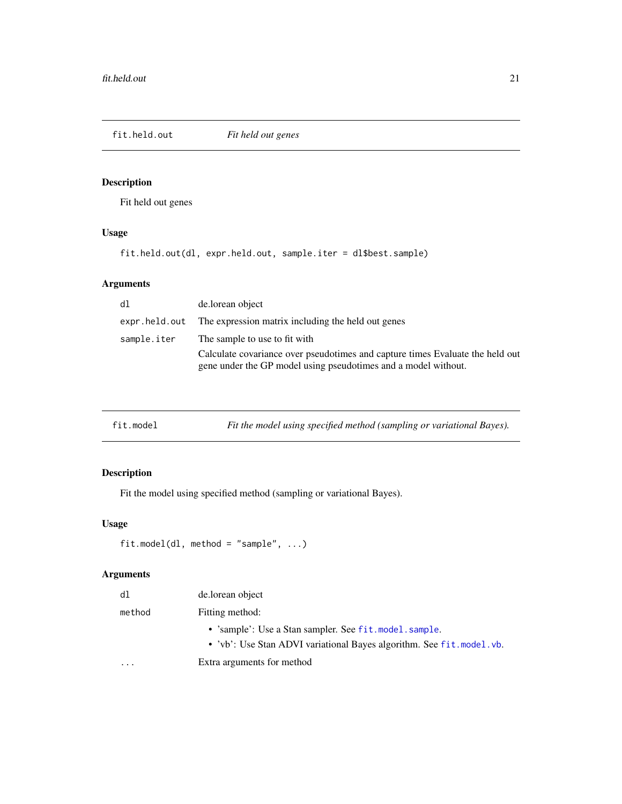<span id="page-20-0"></span>

Fit held out genes

## Usage

fit.held.out(dl, expr.held.out, sample.iter = dl\$best.sample)

## Arguments

| dl          | de.lorean object                                                                                                                                |
|-------------|-------------------------------------------------------------------------------------------------------------------------------------------------|
|             | expr. held. out The expression matrix including the held out genes                                                                              |
| sample.iter | The sample to use to fit with                                                                                                                   |
|             | Calculate covariance over pseudotimes and capture times Evaluate the held out<br>gene under the GP model using pseudotimes and a model without. |
|             |                                                                                                                                                 |

## Description

Fit the model using specified method (sampling or variational Bayes).

## Usage

```
fit.model(dl, method = "sample", ...)
```

| dl     | de.lorean object                                                                                                                  |
|--------|-----------------------------------------------------------------------------------------------------------------------------------|
| method | Fitting method:                                                                                                                   |
|        | • 'sample': Use a Stan sampler. See fit. model. sample.<br>• 'vb': Use Stan ADVI variational Bayes algorithm. See fit. model. vb. |
| .      | Extra arguments for method                                                                                                        |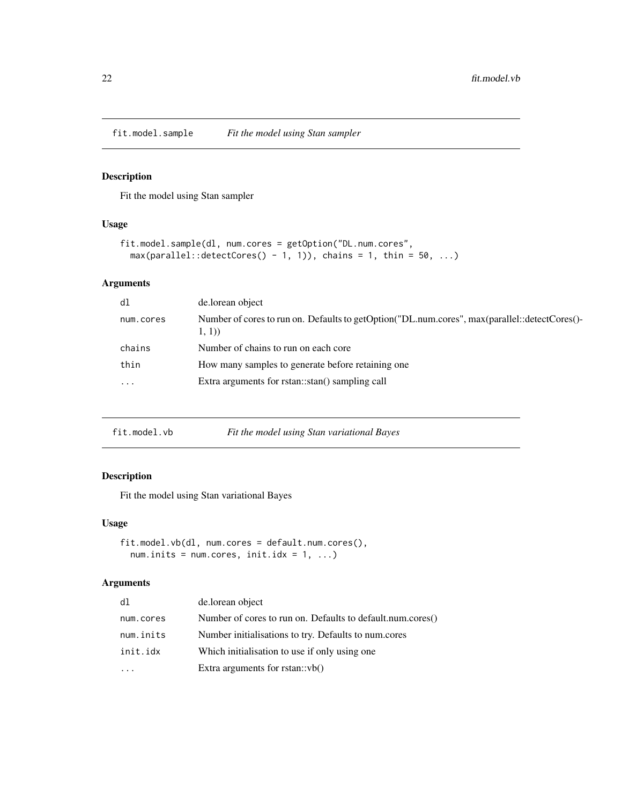<span id="page-21-1"></span><span id="page-21-0"></span>fit.model.sample *Fit the model using Stan sampler*

## Description

Fit the model using Stan sampler

## Usage

```
fit.model.sample(dl, num.cores = getOption("DL.num.cores",
 max(parallel::detectCores() - 1, 1)), chains = 1, thin = 50, ...)
```
## Arguments

| d1                      | de.lorean object                                                                                       |
|-------------------------|--------------------------------------------------------------------------------------------------------|
| num.cores               | Number of cores to run on. Defaults to getOption("DL.num.cores", max(parallel::detectCores()-<br>1, 1) |
| chains                  | Number of chains to run on each core                                                                   |
| thin                    | How many samples to generate before retaining one.                                                     |
| $\cdot$ $\cdot$ $\cdot$ | Extra arguments for rstan::stan() sampling call                                                        |
|                         |                                                                                                        |

<span id="page-21-2"></span>

| fit.model.vb | Fit the model using Stan variational Bayes |  |  |
|--------------|--------------------------------------------|--|--|
|              |                                            |  |  |

## Description

Fit the model using Stan variational Bayes

## Usage

```
fit.model.vb(dl, num.cores = default.num.cores(),
  num.inits = num.cores, init.idx = 1, ...)
```

| d1        | de.lorean object                                           |
|-----------|------------------------------------------------------------|
| num.cores | Number of cores to run on. Defaults to default.num.cores() |
| num.inits | Number initialisations to try. Defaults to num.cores       |
| init.idx  | Which initialisation to use if only using one.             |
|           | Extra arguments for $rstan::vb()$                          |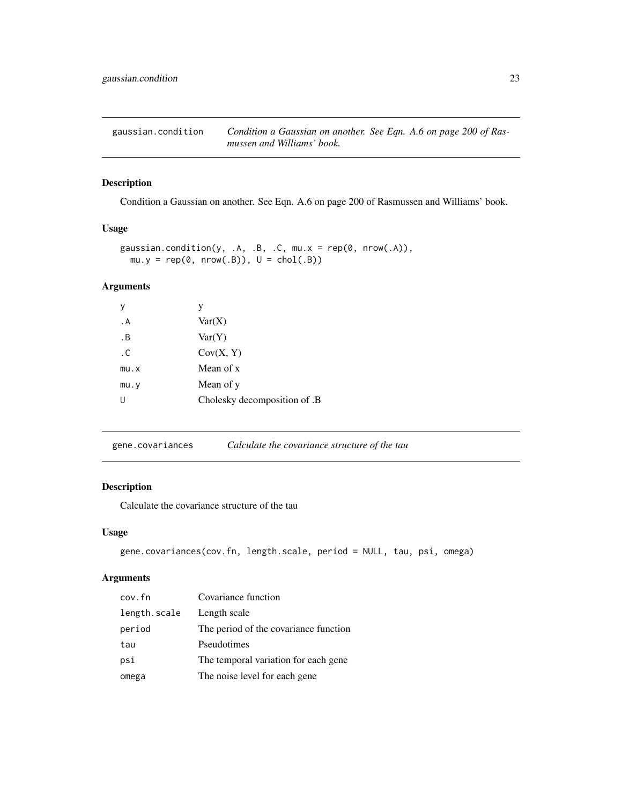<span id="page-22-0"></span>gaussian.condition *Condition a Gaussian on another. See Eqn. A.6 on page 200 of Rasmussen and Williams' book.*

## Description

Condition a Gaussian on another. See Eqn. A.6 on page 200 of Rasmussen and Williams' book.

#### Usage

```
gaussian.condition(y, .A, .B, .C, mu.x = rep(0, nrow(.A)),
 mu.y = rep(0, nrow(.B)), U = chol(.B))
```
## Arguments

| ٧    | V                            |
|------|------------------------------|
| . A  | Var(X)                       |
| . В  | Var(Y)                       |
| . C  | Cov(X, Y)                    |
| mu.x | Mean of x                    |
| mu.y | Mean of y                    |
|      | Cholesky decomposition of .B |

gene.covariances *Calculate the covariance structure of the tau*

#### Description

Calculate the covariance structure of the tau

#### Usage

```
gene.covariances(cov.fn, length.scale, period = NULL, tau, psi, omega)
```

| cov.fn       | Covariance function                   |
|--------------|---------------------------------------|
| length.scale | Length scale                          |
| period       | The period of the covariance function |
| tau          | Pseudotimes                           |
| psi          | The temporal variation for each gene  |
| omega        | The noise level for each gene         |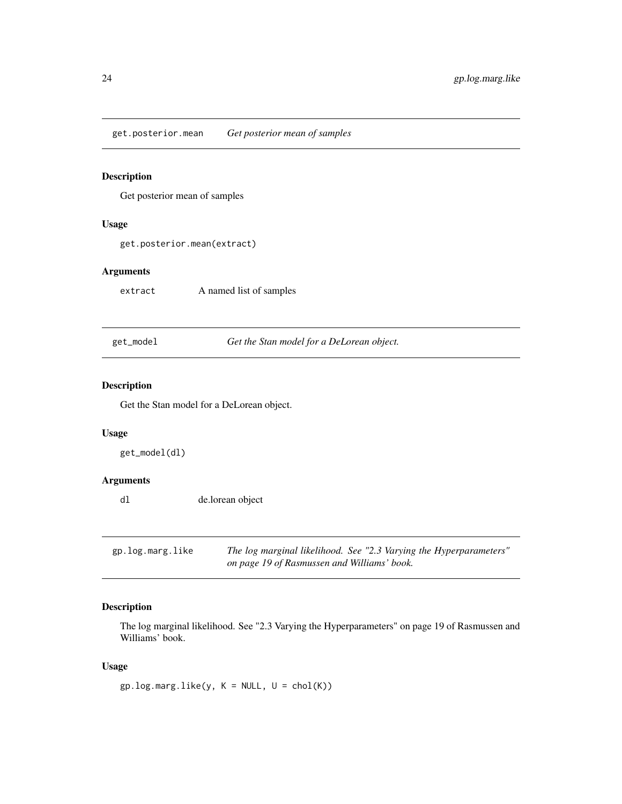<span id="page-23-0"></span>get.posterior.mean *Get posterior mean of samples*

## Description

Get posterior mean of samples

## Usage

get.posterior.mean(extract)

#### Arguments

extract A named list of samples

get\_model *Get the Stan model for a DeLorean object.*

#### Description

Get the Stan model for a DeLorean object.

## Usage

get\_model(dl)

## Arguments

dl de.lorean object

gp.log.marg.like *The log marginal likelihood. See "2.3 Varying the Hyperparameters" on page 19 of Rasmussen and Williams' book.*

## Description

The log marginal likelihood. See "2.3 Varying the Hyperparameters" on page 19 of Rasmussen and Williams' book.

#### Usage

 $gp.log.maxguike(y, K = NULL, U = chol(K))$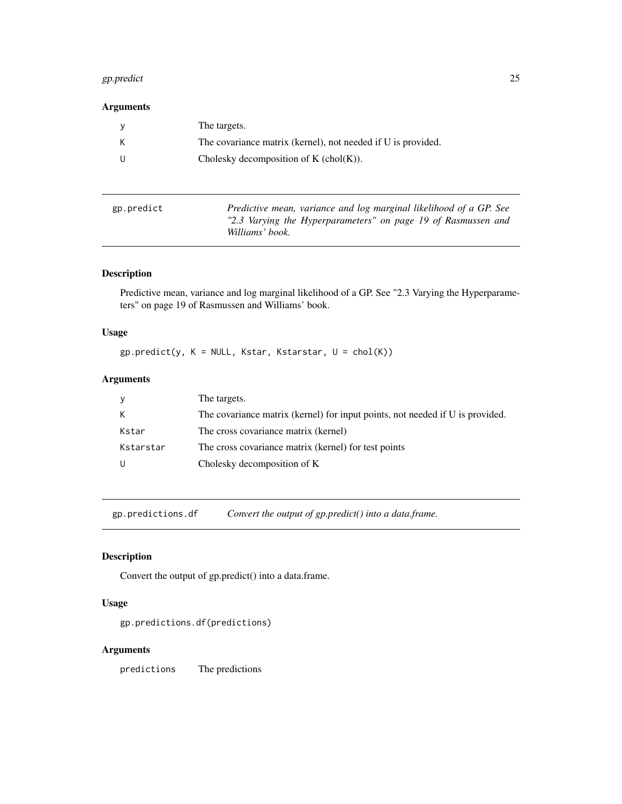#### <span id="page-24-0"></span>gp.predict 25

## Arguments

| The targets.                                                 |
|--------------------------------------------------------------|
| The covariance matrix (kernel), not needed if U is provided. |
| Cholesky decomposition of $K$ (chol $(K)$ ).                 |

| gp.predict | Predictive mean, variance and log marginal likelihood of a GP. See |
|------------|--------------------------------------------------------------------|
|            | "2.3 Varying the Hyperparameters" on page 19 of Rasmussen and      |
|            | Williams' book.                                                    |

## Description

Predictive mean, variance and log marginal likelihood of a GP. See "2.3 Varying the Hyperparameters" on page 19 of Rasmussen and Williams' book.

## Usage

 $gp.predict(y, K = NULL, Kstar, Kstarstar, U = chol(K))$ 

## Arguments

|           | The targets.                                                                  |
|-----------|-------------------------------------------------------------------------------|
| K         | The covariance matrix (kernel) for input points, not needed if U is provided. |
| Kstar     | The cross covariance matrix (kernel)                                          |
| Kstarstar | The cross covariance matrix (kernel) for test points                          |
| - U       | Cholesky decomposition of K                                                   |

gp.predictions.df *Convert the output of gp.predict() into a data.frame.*

## Description

Convert the output of gp.predict() into a data.frame.

#### Usage

gp.predictions.df(predictions)

#### Arguments

predictions The predictions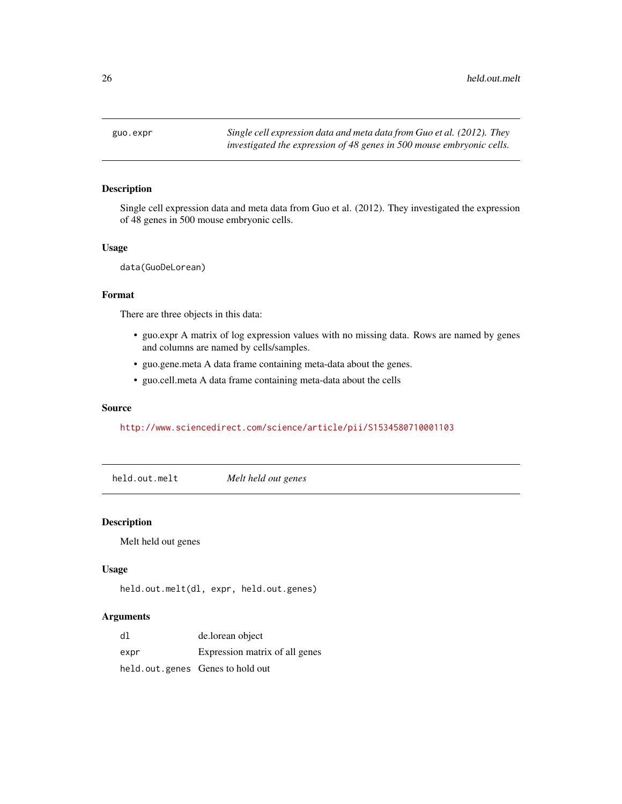<span id="page-25-0"></span>

Single cell expression data and meta data from Guo et al. (2012). They investigated the expression of 48 genes in 500 mouse embryonic cells.

#### Usage

data(GuoDeLorean)

#### Format

There are three objects in this data:

- guo.expr A matrix of log expression values with no missing data. Rows are named by genes and columns are named by cells/samples.
- guo.gene.meta A data frame containing meta-data about the genes.
- guo.cell.meta A data frame containing meta-data about the cells

## Source

#### <http://www.sciencedirect.com/science/article/pii/S1534580710001103>

held.out.melt *Melt held out genes*

#### Description

Melt held out genes

#### Usage

```
held.out.melt(dl, expr, held.out.genes)
```

| dl   | de.lorean object                 |
|------|----------------------------------|
| expr | Expression matrix of all genes   |
|      | held.out.genes Genes to hold out |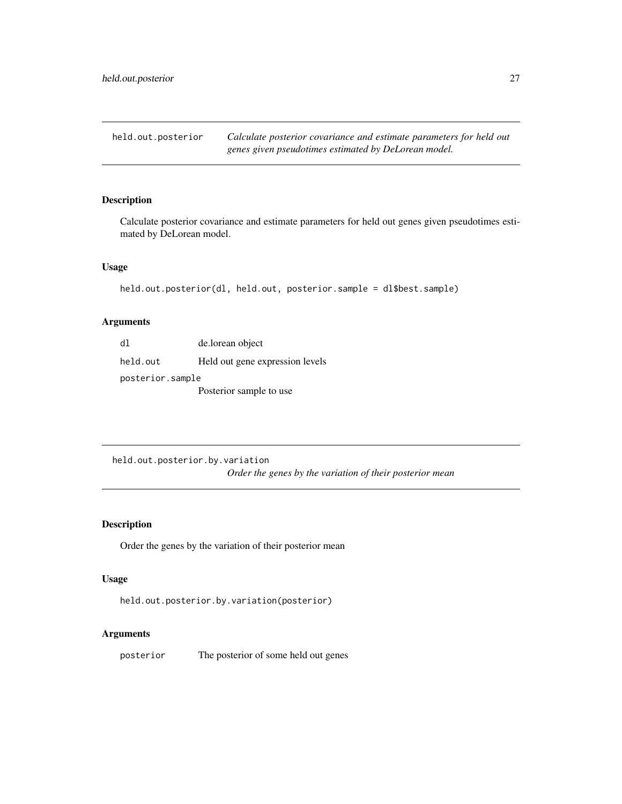<span id="page-26-0"></span>held.out.posterior *Calculate posterior covariance and estimate parameters for held out genes given pseudotimes estimated by DeLorean model.*

## Description

Calculate posterior covariance and estimate parameters for held out genes given pseudotimes estimated by DeLorean model.

#### Usage

```
held.out.posterior(dl, held.out, posterior.sample = dl$best.sample)
```
## Arguments

| d1               | de.lorean object                |  |
|------------------|---------------------------------|--|
| held.out         | Held out gene expression levels |  |
| posterior.sample |                                 |  |
|                  | Posterior sample to use         |  |

held.out.posterior.by.variation *Order the genes by the variation of their posterior mean*

## Description

Order the genes by the variation of their posterior mean

#### Usage

```
held.out.posterior.by.variation(posterior)
```
#### Arguments

posterior The posterior of some held out genes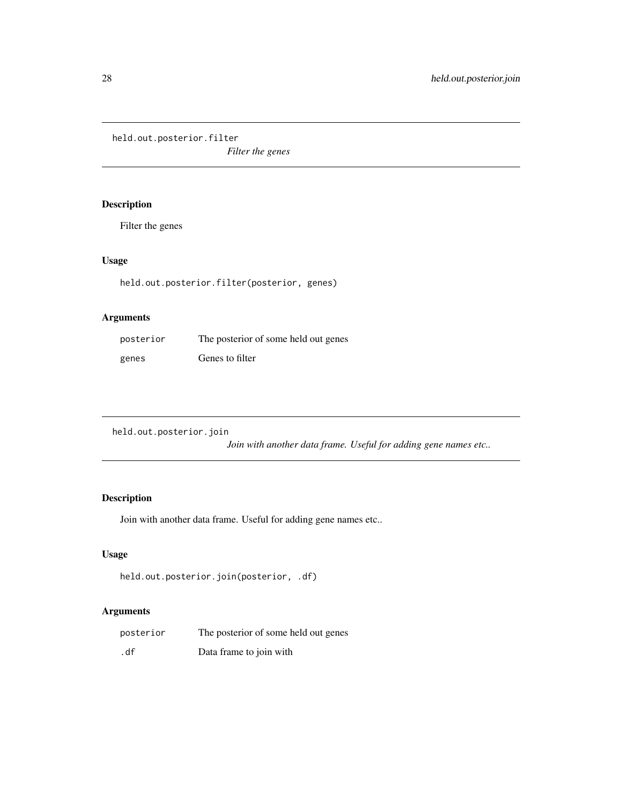<span id="page-27-0"></span>held.out.posterior.filter

*Filter the genes*

## Description

Filter the genes

## Usage

held.out.posterior.filter(posterior, genes)

## Arguments

| posterior | The posterior of some held out genes |
|-----------|--------------------------------------|
| genes     | Genes to filter                      |

held.out.posterior.join

*Join with another data frame. Useful for adding gene names etc..*

## Description

Join with another data frame. Useful for adding gene names etc..

## Usage

```
held.out.posterior.join(posterior, .df)
```

| posterior | The posterior of some held out genes |
|-----------|--------------------------------------|
| .df       | Data frame to join with              |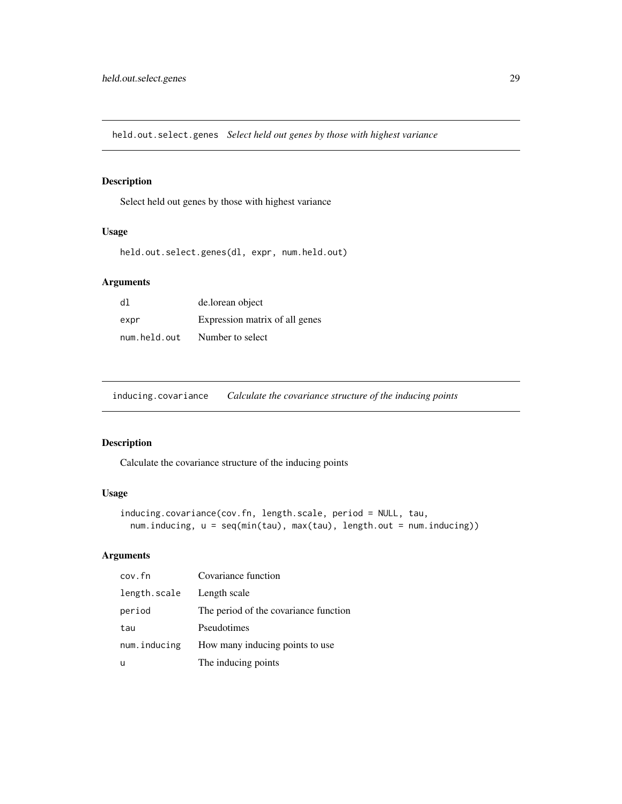<span id="page-28-0"></span>held.out.select.genes *Select held out genes by those with highest variance*

## Description

Select held out genes by those with highest variance

#### Usage

held.out.select.genes(dl, expr, num.held.out)

## Arguments

| d1           | de.lorean object               |
|--------------|--------------------------------|
| expr         | Expression matrix of all genes |
| num.held.out | Number to select               |

inducing.covariance *Calculate the covariance structure of the inducing points*

## Description

Calculate the covariance structure of the inducing points

## Usage

```
inducing.covariance(cov.fn, length.scale, period = NULL, tau,
 num.inducing, u = seq(min(tau), max(tau), length.out = num.inducing))
```

| cov.fn       | Covariance function                   |
|--------------|---------------------------------------|
| length.scale | Length scale                          |
| period       | The period of the covariance function |
| tau          | Pseudotimes                           |
| num.inducing | How many inducing points to use       |
| u            | The inducing points                   |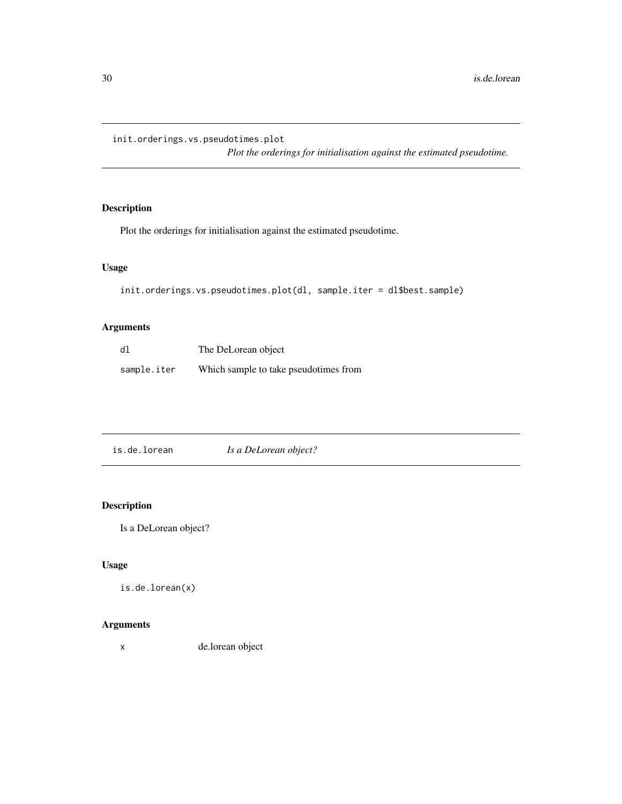<span id="page-29-1"></span><span id="page-29-0"></span>init.orderings.vs.pseudotimes.plot

*Plot the orderings for initialisation against the estimated pseudotime.*

## Description

Plot the orderings for initialisation against the estimated pseudotime.

## Usage

```
init.orderings.vs.pseudotimes.plot(dl, sample.iter = dl$best.sample)
```
## Arguments

| dl          | The DeLorean object                   |
|-------------|---------------------------------------|
| sample.iter | Which sample to take pseudotimes from |

| is.de.lorean | Is a DeLorean object? |
|--------------|-----------------------|
|--------------|-----------------------|

## Description

Is a DeLorean object?

## Usage

```
is.de.lorean(x)
```
## Arguments

x de.lorean object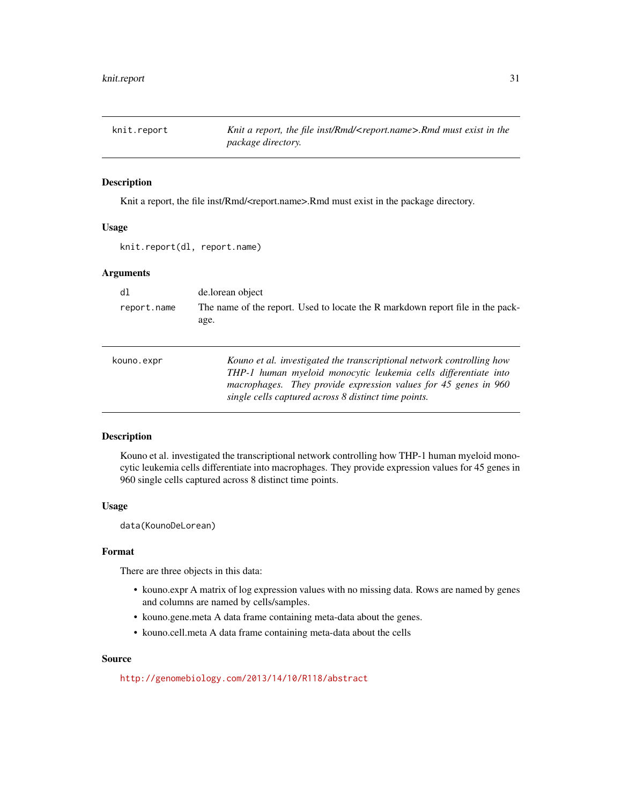<span id="page-30-0"></span>

Knit a report, the file inst/Rmd/<report.name>.Rmd must exist in the package directory.

#### Usage

knit.report(dl, report.name)

## Arguments

| dl          | de.lorean object                                                                                                                                                                                                                                                    |
|-------------|---------------------------------------------------------------------------------------------------------------------------------------------------------------------------------------------------------------------------------------------------------------------|
| report.name | The name of the report. Used to locate the R markdown report file in the pack-<br>age.                                                                                                                                                                              |
| kouno.expr  | Kouno et al. investigated the transcriptional network controlling how<br>THP-1 human myeloid monocytic leukemia cells differentiate into<br>macrophages. They provide expression values for 45 genes in 960<br>single cells captured across 8 distinct time points. |

#### Description

Kouno et al. investigated the transcriptional network controlling how THP-1 human myeloid monocytic leukemia cells differentiate into macrophages. They provide expression values for 45 genes in 960 single cells captured across 8 distinct time points.

#### Usage

data(KounoDeLorean)

#### Format

There are three objects in this data:

- kouno.expr A matrix of log expression values with no missing data. Rows are named by genes and columns are named by cells/samples.
- kouno.gene.meta A data frame containing meta-data about the genes.
- kouno.cell.meta A data frame containing meta-data about the cells

#### Source

<http://genomebiology.com/2013/14/10/R118/abstract>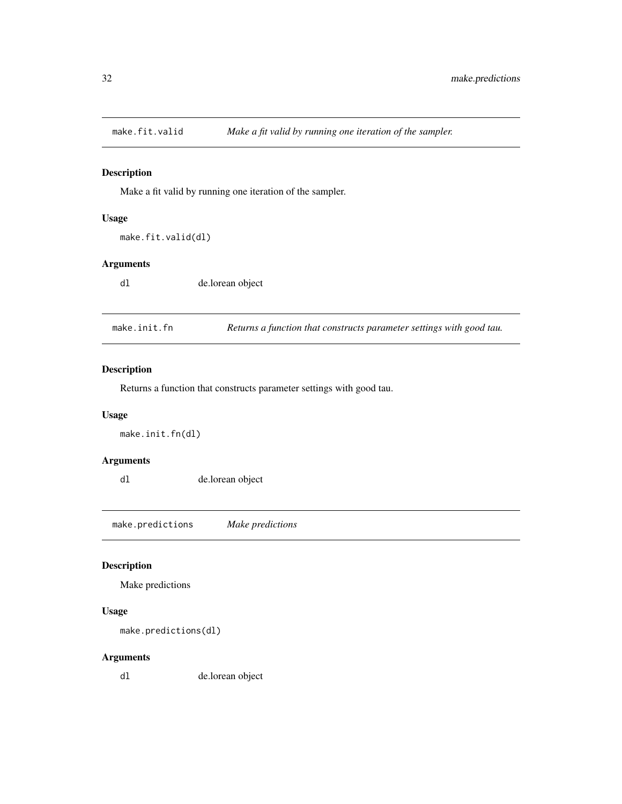<span id="page-31-0"></span>

Make a fit valid by running one iteration of the sampler.

#### Usage

make.fit.valid(dl)

#### Arguments

dl de.lorean object

make.init.fn *Returns a function that constructs parameter settings with good tau.*

## Description

Returns a function that constructs parameter settings with good tau.

#### Usage

make.init.fn(dl)

## Arguments

dl de.lorean object

make.predictions *Make predictions*

#### Description

Make predictions

#### Usage

```
make.predictions(dl)
```
## Arguments

dl de.lorean object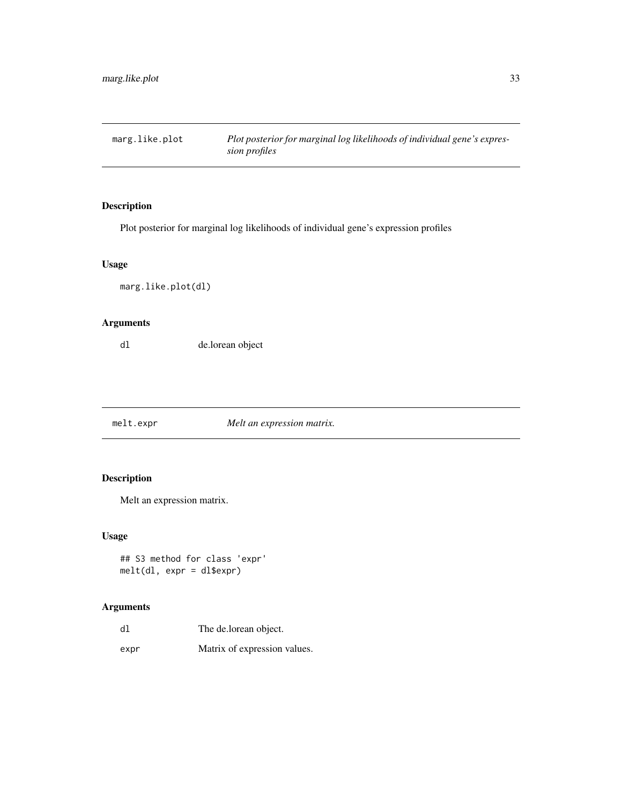<span id="page-32-1"></span><span id="page-32-0"></span>marg.like.plot *Plot posterior for marginal log likelihoods of individual gene's expression profiles*

## Description

Plot posterior for marginal log likelihoods of individual gene's expression profiles

#### Usage

marg.like.plot(dl)

## Arguments

dl de.lorean object

melt.expr *Melt an expression matrix.*

## Description

Melt an expression matrix.

## Usage

```
## S3 method for class 'expr'
melt(dl, expr = dl$expr)
```

| dl   | The de.lorean object.        |
|------|------------------------------|
| expr | Matrix of expression values. |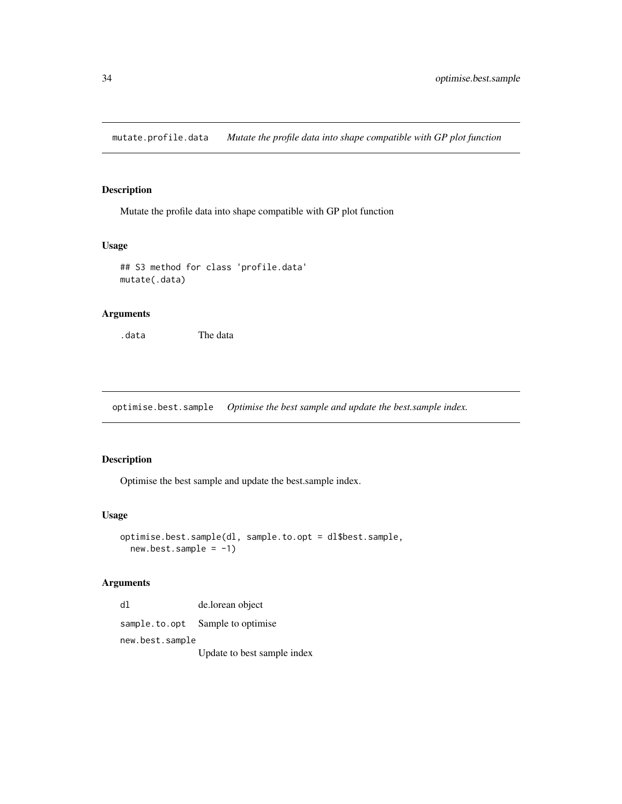<span id="page-33-0"></span>mutate.profile.data *Mutate the profile data into shape compatible with GP plot function*

#### Description

Mutate the profile data into shape compatible with GP plot function

## Usage

```
## S3 method for class 'profile.data'
mutate(.data)
```
#### Arguments

.data The data

optimise.best.sample *Optimise the best sample and update the best.sample index.*

#### Description

Optimise the best sample and update the best.sample index.

#### Usage

```
optimise.best.sample(dl, sample.to.opt = dl$best.sample,
  new. best. sample = -1)
```
#### Arguments

dl de.lorean object sample.to.opt Sample to optimise new.best.sample Update to best sample index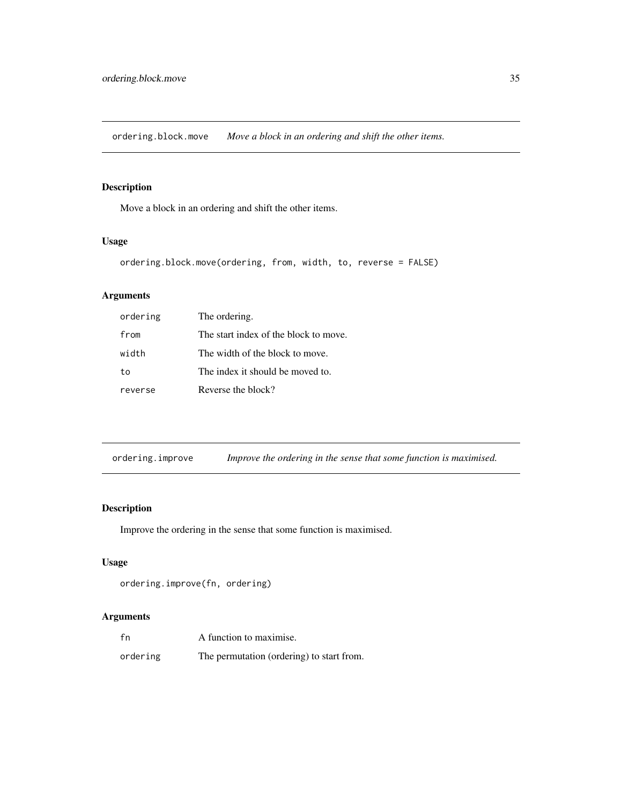<span id="page-34-0"></span>ordering.block.move *Move a block in an ordering and shift the other items.*

## Description

Move a block in an ordering and shift the other items.

## Usage

```
ordering.block.move(ordering, from, width, to, reverse = FALSE)
```
## Arguments

| ordering | The ordering.                         |
|----------|---------------------------------------|
| from     | The start index of the block to move. |
| width    | The width of the block to move.       |
| t٥       | The index it should be moved to.      |
| reverse  | Reverse the block?                    |

| ordering.improve |  |  |  | Improve the ordering in the sense that some function is maximised. |
|------------------|--|--|--|--------------------------------------------------------------------|
|                  |  |  |  |                                                                    |

## Description

Improve the ordering in the sense that some function is maximised.

## Usage

```
ordering.improve(fn, ordering)
```

| fn       | A function to maximise.                   |
|----------|-------------------------------------------|
| ordering | The permutation (ordering) to start from. |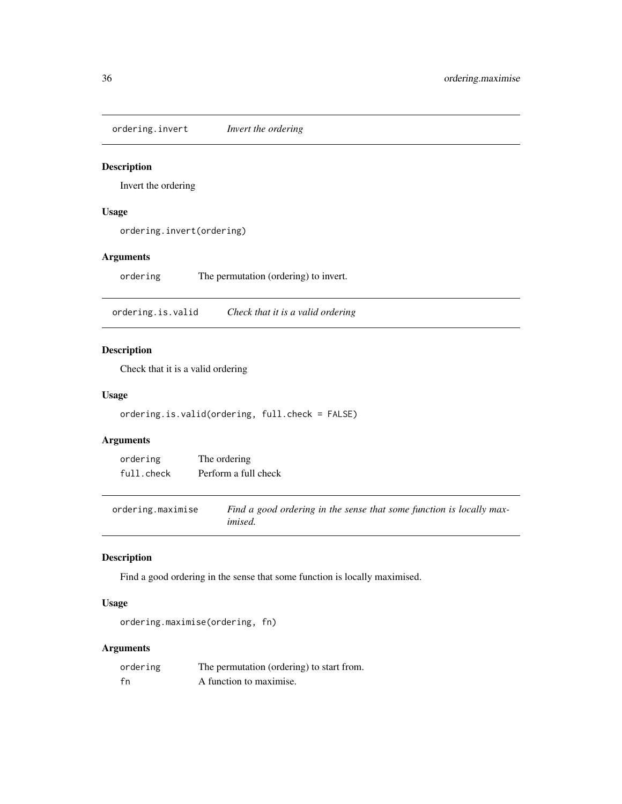<span id="page-35-0"></span>ordering.invert *Invert the ordering*

#### Description

Invert the ordering

## Usage

ordering.invert(ordering)

## Arguments

ordering The permutation (ordering) to invert.

ordering.is.valid *Check that it is a valid ordering*

## Description

Check that it is a valid ordering

#### Usage

ordering.is.valid(ordering, full.check = FALSE)

## Arguments

| ordering   | The ordering         |
|------------|----------------------|
| full.check | Perform a full check |

ordering.maximise *Find a good ordering in the sense that some function is locally maximised.*

## Description

Find a good ordering in the sense that some function is locally maximised.

#### Usage

ordering.maximise(ordering, fn)

| ordering | The permutation (ordering) to start from. |
|----------|-------------------------------------------|
| fn       | A function to maximise.                   |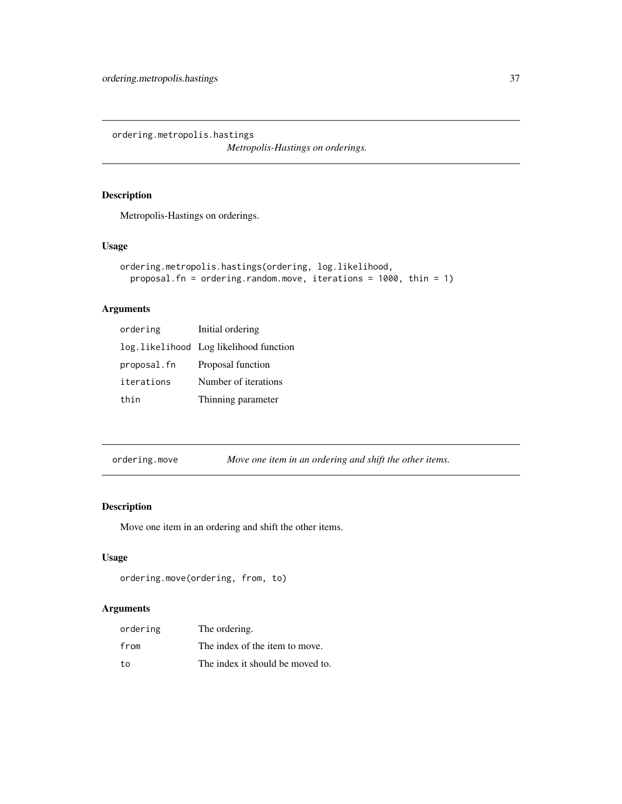<span id="page-36-0"></span>ordering.metropolis.hastings

*Metropolis-Hastings on orderings.*

## Description

Metropolis-Hastings on orderings.

## Usage

```
ordering.metropolis.hastings(ordering, log.likelihood,
 proposal.fn = ordering.random.move, iterations = 1000, thin = 1)
```
## Arguments

| ordering    | Initial ordering                       |
|-------------|----------------------------------------|
|             | log.likelihood Log likelihood function |
| proposal.fn | Proposal function                      |
| iterations  | Number of iterations                   |
| thin        | Thinning parameter                     |

| ordering.move |  | Move one item in an ordering and shift the other items. |
|---------------|--|---------------------------------------------------------|
|               |  |                                                         |

## Description

Move one item in an ordering and shift the other items.

## Usage

```
ordering.move(ordering, from, to)
```

| ordering | The ordering.                    |
|----------|----------------------------------|
| from     | The index of the item to move.   |
| to.      | The index it should be moved to. |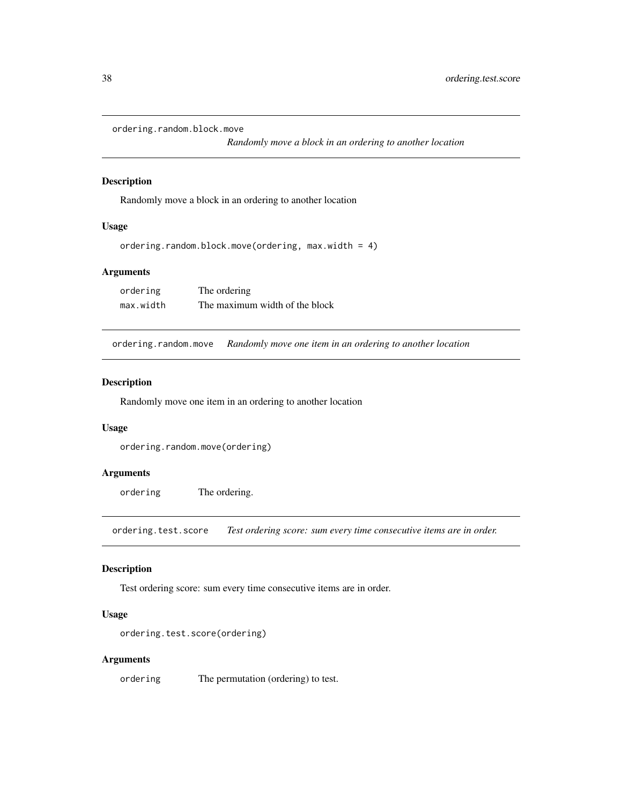```
ordering.random.block.move
```
*Randomly move a block in an ordering to another location*

#### Description

Randomly move a block in an ordering to another location

## Usage

```
ordering.random.block.move(ordering, max.width = 4)
```
#### Arguments

| ordering  | The ordering                   |
|-----------|--------------------------------|
| max.width | The maximum width of the block |

ordering.random.move *Randomly move one item in an ordering to another location*

#### Description

Randomly move one item in an ordering to another location

#### Usage

```
ordering.random.move(ordering)
```
#### Arguments

ordering The ordering.

ordering.test.score *Test ordering score: sum every time consecutive items are in order.*

## Description

Test ordering score: sum every time consecutive items are in order.

#### Usage

```
ordering.test.score(ordering)
```
#### Arguments

ordering The permutation (ordering) to test.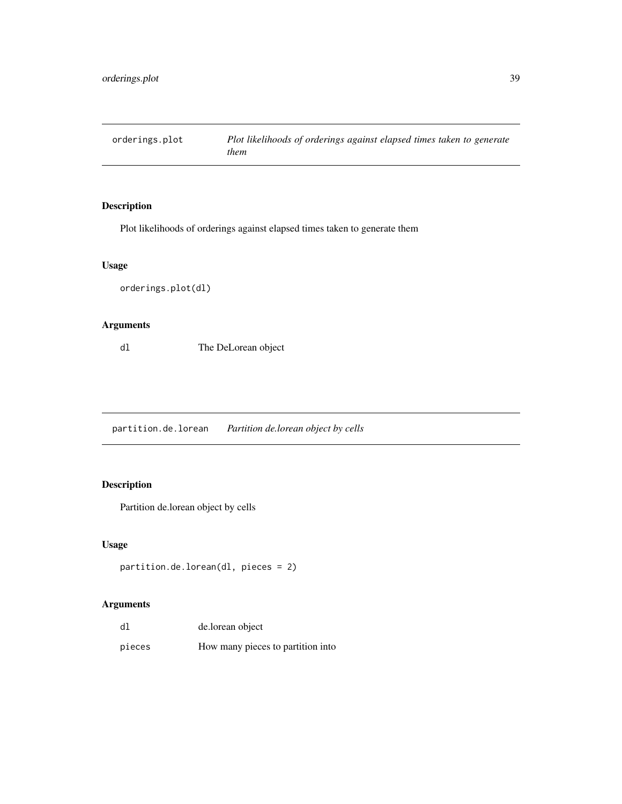<span id="page-38-0"></span>

Plot likelihoods of orderings against elapsed times taken to generate them

## Usage

```
orderings.plot(dl)
```
## Arguments

dl The DeLorean object

partition.de.lorean *Partition de.lorean object by cells*

## Description

Partition de.lorean object by cells

## Usage

```
partition.de.lorean(dl, pieces = 2)
```

| d1     | de.lorean object                  |
|--------|-----------------------------------|
| pieces | How many pieces to partition into |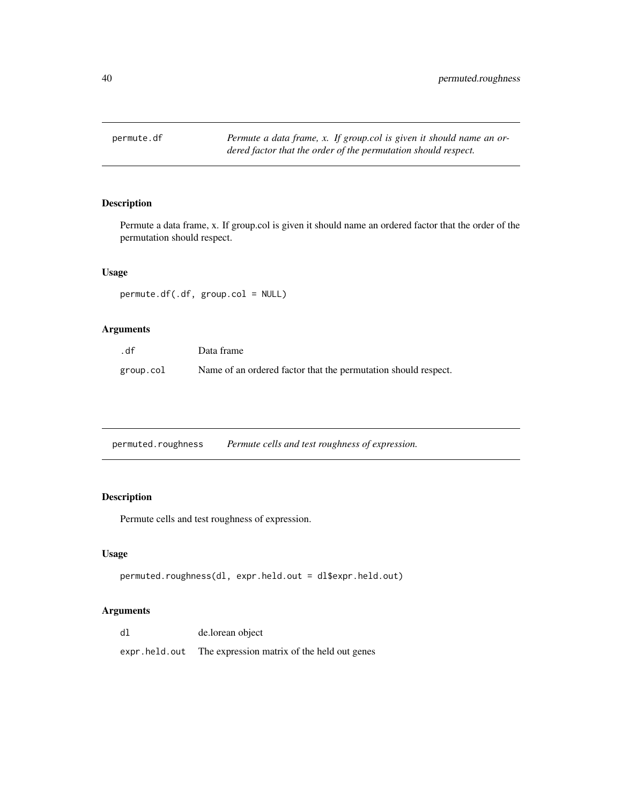<span id="page-39-0"></span>permute.df *Permute a data frame, x. If group.col is given it should name an ordered factor that the order of the permutation should respect.*

## Description

Permute a data frame, x. If group.col is given it should name an ordered factor that the order of the permutation should respect.

#### Usage

permute.df(.df, group.col = NULL)

## Arguments

| .df       | Data frame                                                     |
|-----------|----------------------------------------------------------------|
| group.col | Name of an ordered factor that the permutation should respect. |

| permuted.roughness | Permute cells and test roughness of expression. |
|--------------------|-------------------------------------------------|
|                    |                                                 |

## Description

Permute cells and test roughness of expression.

#### Usage

```
permuted.roughness(dl, expr.held.out = dl$expr.held.out)
```

| dl            | de.lorean object                            |
|---------------|---------------------------------------------|
| expr.held.out | The expression matrix of the held out genes |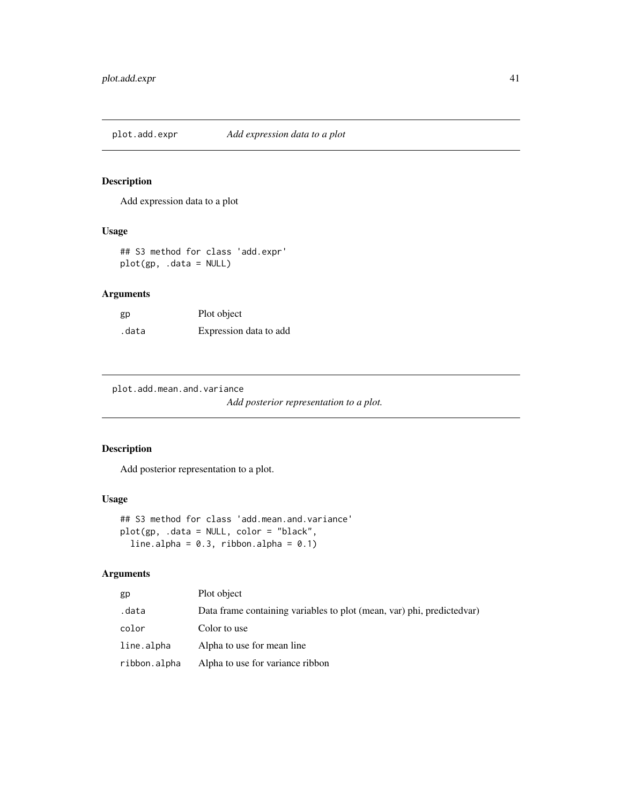<span id="page-40-0"></span>plot.add.expr *Add expression data to a plot*

#### Description

Add expression data to a plot

## Usage

## S3 method for class 'add.expr' plot(gp, .data = NULL)

## Arguments

| gp    | Plot object            |
|-------|------------------------|
| .data | Expression data to add |

plot.add.mean.and.variance

*Add posterior representation to a plot.*

## Description

Add posterior representation to a plot.

## Usage

```
## S3 method for class 'add.mean.and.variance'
plot(gp, .data = NULL, color = "black",
 line.alpha = 0.3, ribbon.alpha = 0.1)
```

| gp           | Plot object                                                             |
|--------------|-------------------------------------------------------------------------|
| .data        | Data frame containing variables to plot (mean, var) phi, predicted var) |
| color        | Color to use                                                            |
| line.alpha   | Alpha to use for mean line                                              |
| ribbon.alpha | Alpha to use for variance ribbon                                        |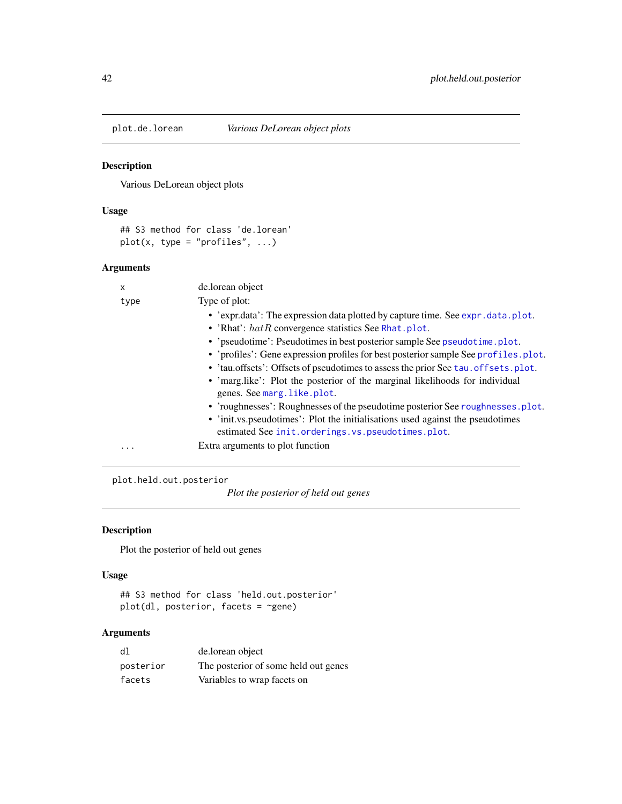<span id="page-41-0"></span>

Various DeLorean object plots

## Usage

```
## S3 method for class 'de.lorean'
plot(x, type = "profiles", ...)
```
## Arguments

| X    | de.lorean object                                                                                                                    |
|------|-------------------------------------------------------------------------------------------------------------------------------------|
| type | Type of plot:                                                                                                                       |
|      | • 'expr.data': The expression data plotted by capture time. See expr.data.plot.                                                     |
|      | • 'Rhat': $hat$ convergence statistics See Rhat.plot.                                                                               |
|      | • 'pseudotime': Pseudotimes in best posterior sample See pseudotime.plot.                                                           |
|      | • 'profiles': Gene expression profiles for best posterior sample See profiles.plot.                                                 |
|      | • 'tau.offsets': Offsets of pseudotimes to assess the prior See tau.offsets.plot.                                                   |
|      | • 'marg.like': Plot the posterior of the marginal likelihoods for individual<br>genes. See marg. like. plot.                        |
|      | • 'roughnesses': Roughnesses of the pseudotime posterior See roughnesses. plot.                                                     |
|      | • 'init.vs.pseudotimes': Plot the initialisations used against the pseudotimes<br>estimated See init.orderings.vs.pseudotimes.plot. |
| .    | Extra arguments to plot function                                                                                                    |

plot.held.out.posterior

*Plot the posterior of held out genes*

## Description

Plot the posterior of held out genes

## Usage

```
## S3 method for class 'held.out.posterior'
plot(dl, posterior, facets = ~gene)
```

| dl        | de.lorean object                     |
|-----------|--------------------------------------|
| posterior | The posterior of some held out genes |
| facets    | Variables to wrap facets on          |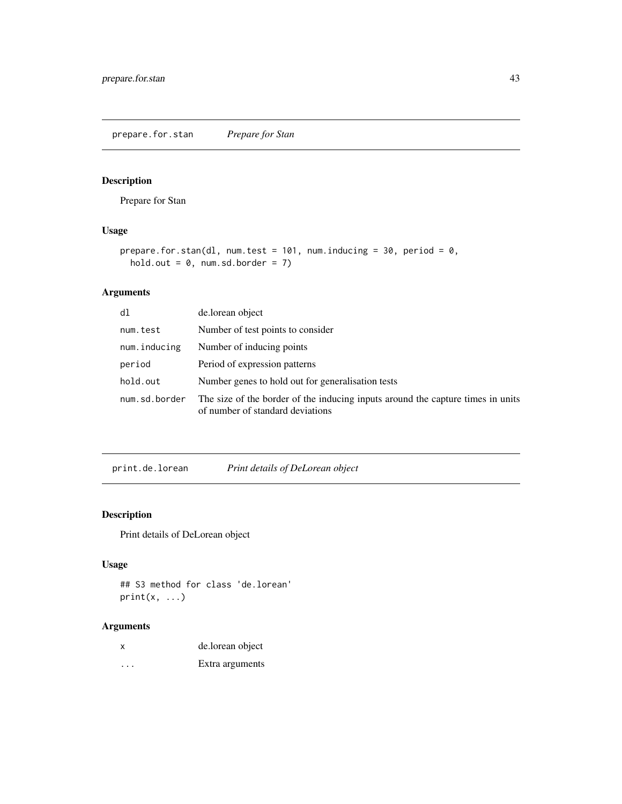<span id="page-42-0"></span>prepare.for.stan *Prepare for Stan*

## Description

Prepare for Stan

## Usage

```
prepare.for.stan(dl, num.test = 101, num.inducing = 30, period = 0,
 hold.out = 0, num.sd.border = 7)
```
## Arguments

| dl            | de.lorean object                                                                                                    |
|---------------|---------------------------------------------------------------------------------------------------------------------|
| num.test      | Number of test points to consider                                                                                   |
| num.inducing  | Number of inducing points                                                                                           |
| period        | Period of expression patterns                                                                                       |
| hold.out      | Number genes to hold out for generalisation tests                                                                   |
| num.sd.border | The size of the border of the inducing inputs around the capture times in units<br>of number of standard deviations |

print.de.lorean *Print details of DeLorean object*

## Description

Print details of DeLorean object

## Usage

```
## S3 method for class 'de.lorean'
print(x, \ldots)
```

| $\boldsymbol{\mathsf{x}}$ | de.lorean object |
|---------------------------|------------------|
| $\cdots$                  | Extra arguments  |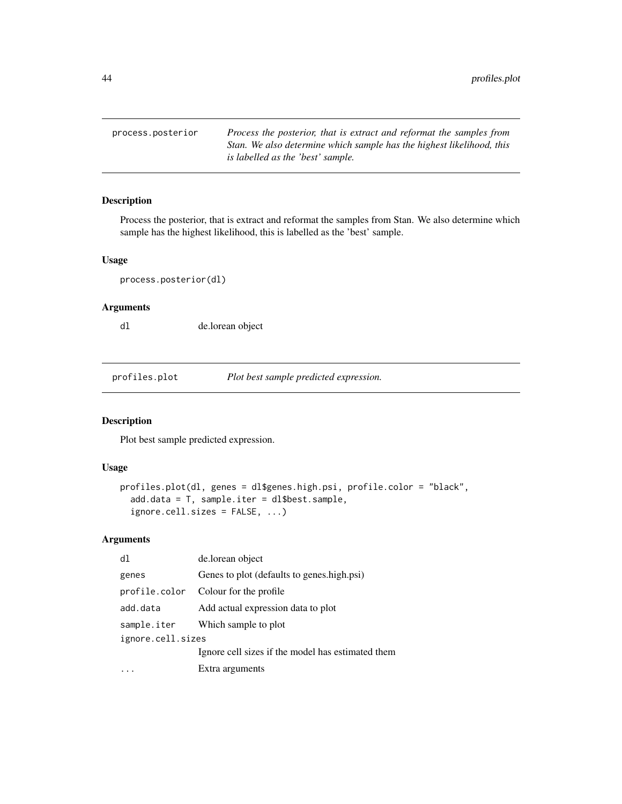<span id="page-43-0"></span>process.posterior *Process the posterior, that is extract and reformat the samples from Stan. We also determine which sample has the highest likelihood, this is labelled as the 'best' sample.*

## Description

Process the posterior, that is extract and reformat the samples from Stan. We also determine which sample has the highest likelihood, this is labelled as the 'best' sample.

#### Usage

process.posterior(dl)

## Arguments

dl de.lorean object

<span id="page-43-1"></span>profiles.plot *Plot best sample predicted expression.*

#### Description

Plot best sample predicted expression.

#### Usage

```
profiles.plot(dl, genes = dl$genes.high.psi, profile.color = "black",
  add.data = T, sample.iter = dl$best.sample,
  ignore.cell.sizes = FALSE, ...)
```

| d1                | de.lorean object                                  |
|-------------------|---------------------------------------------------|
| genes             | Genes to plot (defaults to genes.high.psi)        |
|                   | profile.color Colour for the profile              |
| add.data          | Add actual expression data to plot                |
|                   | sample.iter Which sample to plot                  |
| ignore.cell.sizes |                                                   |
|                   | Ignore cell sizes if the model has estimated them |
|                   | Extra arguments                                   |
|                   |                                                   |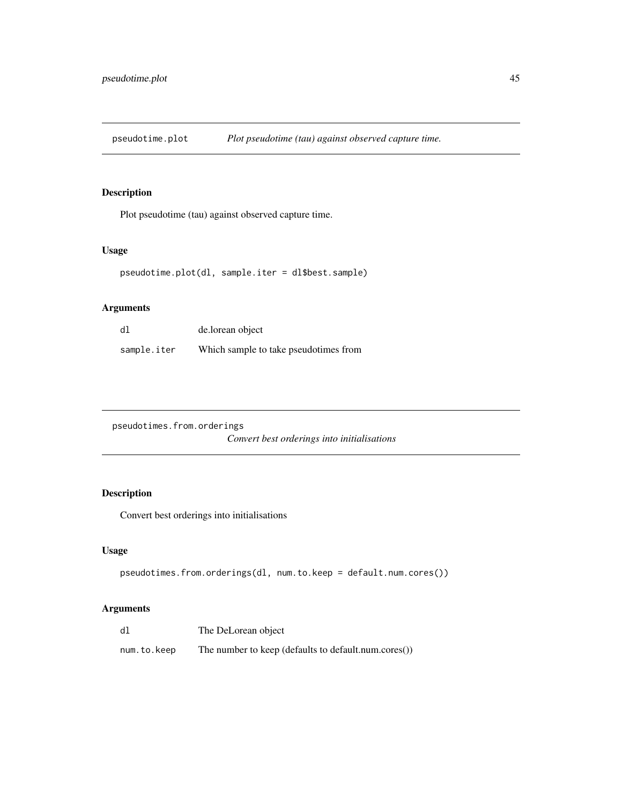<span id="page-44-1"></span><span id="page-44-0"></span>pseudotime.plot *Plot pseudotime (tau) against observed capture time.*

## Description

Plot pseudotime (tau) against observed capture time.

## Usage

```
pseudotime.plot(dl, sample.iter = dl$best.sample)
```
## Arguments

| dl          | de.lorean object                      |
|-------------|---------------------------------------|
| sample.iter | Which sample to take pseudotimes from |

| pseudotimes.from.orderings |                                             |  |  |
|----------------------------|---------------------------------------------|--|--|
|                            | Convert best orderings into initialisations |  |  |

## Description

Convert best orderings into initialisations

#### Usage

```
pseudotimes.from.orderings(dl, num.to.keep = default.num.cores())
```

| dl          | The DeLorean object                                  |
|-------------|------------------------------------------------------|
| num.to.keep | The number to keep (defaults to default.num.cores()) |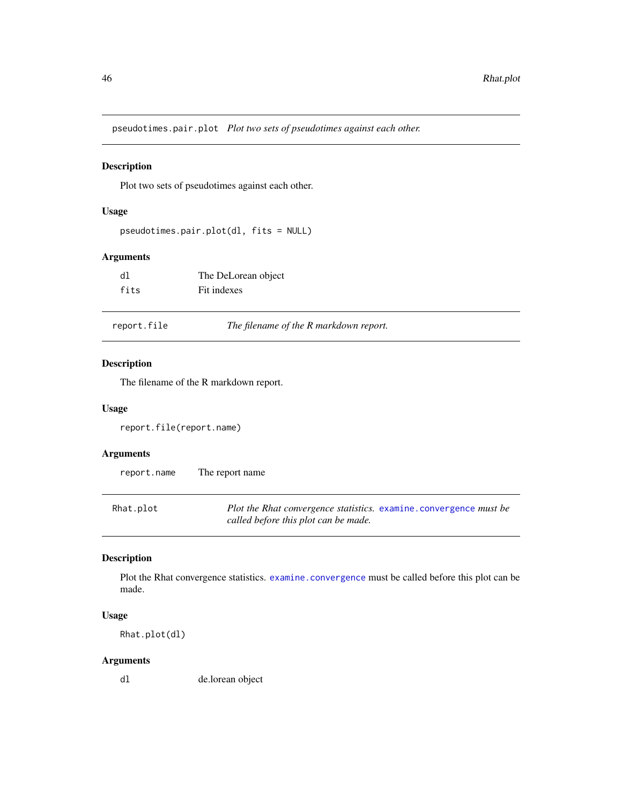<span id="page-45-0"></span>pseudotimes.pair.plot *Plot two sets of pseudotimes against each other.*

## Description

Plot two sets of pseudotimes against each other.

## Usage

```
pseudotimes.pair.plot(dl, fits = NULL)
```
## Arguments

| dl   | The DeLorean object |
|------|---------------------|
| fits | Fit indexes         |

|  | report.file | The filename of the R markdown report. |  |
|--|-------------|----------------------------------------|--|
|--|-------------|----------------------------------------|--|

#### Description

The filename of the R markdown report.

#### Usage

report.file(report.name)

## Arguments

| report.name | The report name |  |
|-------------|-----------------|--|
|             |                 |  |

<span id="page-45-1"></span>

| Rhat.plot | <i>Plot the Rhat convergence statistics.</i> examine.convergence <i>must be</i> |
|-----------|---------------------------------------------------------------------------------|
|           | called before this plot can be made.                                            |

## Description

Plot the Rhat convergence statistics. [examine.convergence](#page-15-1) must be called before this plot can be made.

#### Usage

Rhat.plot(dl)

#### Arguments

dl de.lorean object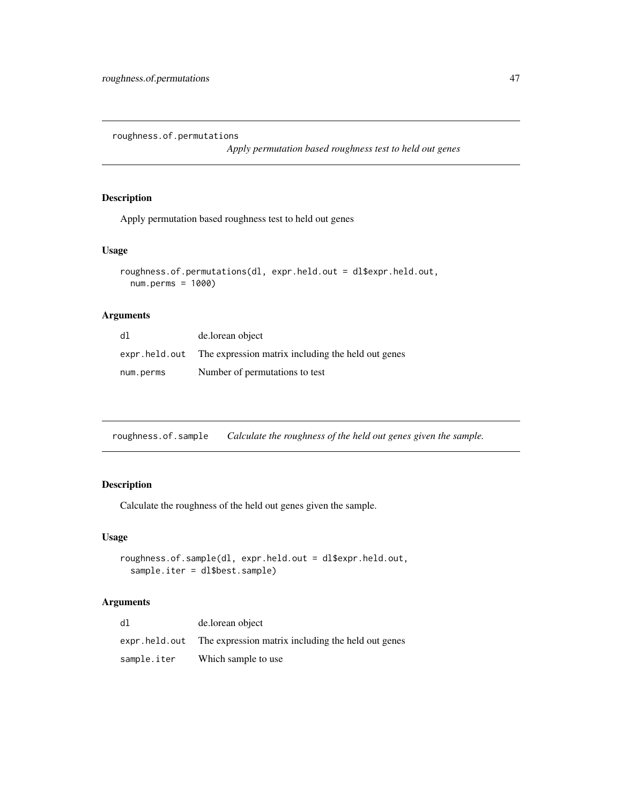<span id="page-46-0"></span>roughness.of.permutations

*Apply permutation based roughness test to held out genes*

#### Description

Apply permutation based roughness test to held out genes

#### Usage

```
roughness.of.permutations(dl, expr.held.out = dl$expr.held.out,
 num.perms = 1000)
```
#### Arguments

| dl            | de.lorean object                                   |
|---------------|----------------------------------------------------|
| expr.held.out | The expression matrix including the held out genes |
| num.perms     | Number of permutations to test                     |

roughness.of.sample *Calculate the roughness of the held out genes given the sample.*

## Description

Calculate the roughness of the held out genes given the sample.

#### Usage

```
roughness.of.sample(dl, expr.held.out = dl$expr.held.out,
 sample.iter = dl$best.sample)
```

| dl          | de.lorean object                                                   |
|-------------|--------------------------------------------------------------------|
|             | expr. held. out The expression matrix including the held out genes |
| sample.iter | Which sample to use                                                |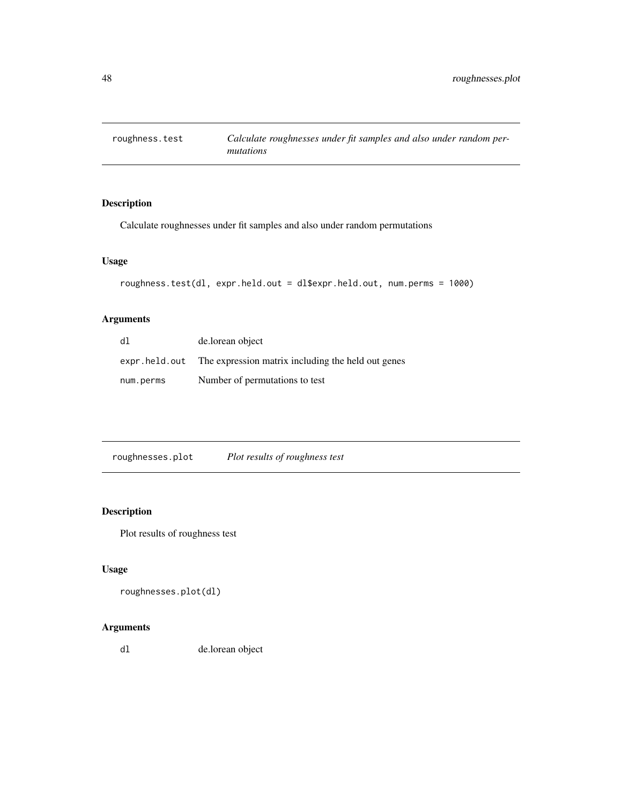<span id="page-47-0"></span>

Calculate roughnesses under fit samples and also under random permutations

## Usage

```
roughness.test(dl, expr.held.out = dl$expr.held.out, num.perms = 1000)
```
## Arguments

| dl        | de.lorean object                                                   |
|-----------|--------------------------------------------------------------------|
|           | expr. held. out The expression matrix including the held out genes |
| num.perms | Number of permutations to test                                     |

<span id="page-47-1"></span>

| roughnesses.plot | Plot results of roughness test |
|------------------|--------------------------------|
|                  |                                |

## Description

Plot results of roughness test

## Usage

```
roughnesses.plot(dl)
```
## Arguments

dl de.lorean object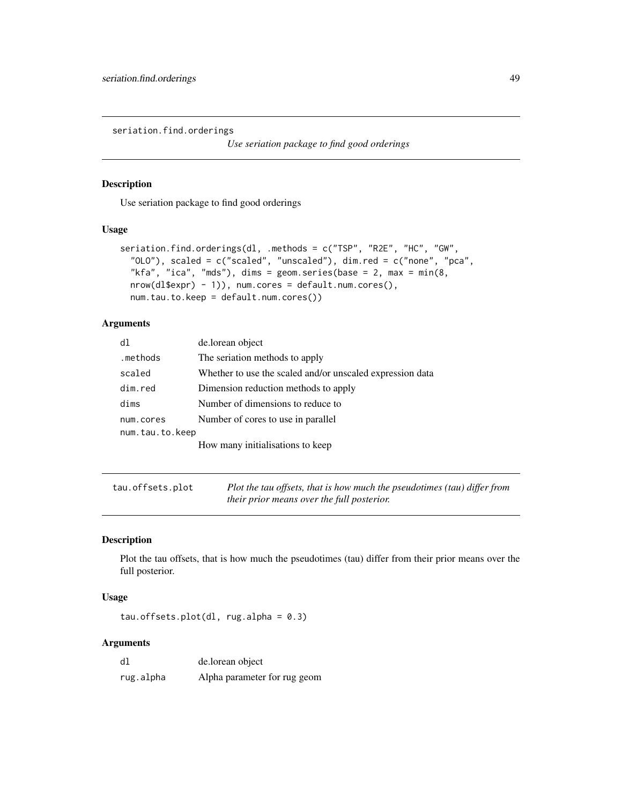<span id="page-48-0"></span>seriation.find.orderings

*Use seriation package to find good orderings*

## Description

Use seriation package to find good orderings

#### Usage

```
seriation.find.orderings(dl, .methods = c("TSP", "R2E", "HC", "GW",
  "OLO"), scaled = c("scaled", "unscaled"), dim.red = c("none", "pca",
 "kfa", "ica", "mds"), dims = geom.series(base = 2, max = min(8,
 nrow(dl$expr) - 1)), num.cores = default.num.cores(),
 num.tau.to.keep = default.num.cores())
```
#### Arguments

| d1              | de.lorean object                                          |
|-----------------|-----------------------------------------------------------|
| .methods        | The seriation methods to apply                            |
| scaled          | Whether to use the scaled and/or unscaled expression data |
| dim.red         | Dimension reduction methods to apply                      |
| dims            | Number of dimensions to reduce to                         |
| num.cores       | Number of cores to use in parallel                        |
| num.tau.to.keep |                                                           |
|                 | How many initialisations to keep                          |

<span id="page-48-1"></span>

| tau.offsets.plot | Plot the tau offsets, that is how much the pseudotimes (tau) differ from |
|------------------|--------------------------------------------------------------------------|
|                  | their prior means over the full posterior.                               |

## Description

Plot the tau offsets, that is how much the pseudotimes (tau) differ from their prior means over the full posterior.

#### Usage

tau.offsets.plot(dl, rug.alpha =  $0.3$ )

| dl        | de.lorean object             |
|-----------|------------------------------|
| rug.alpha | Alpha parameter for rug geom |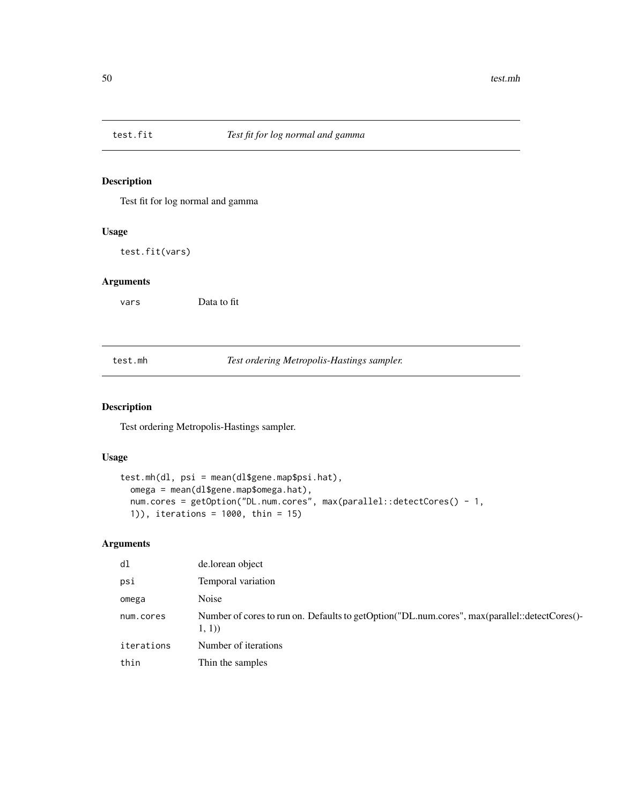<span id="page-49-0"></span>

Test fit for log normal and gamma

#### Usage

test.fit(vars)

## Arguments

vars Data to fit

test.mh *Test ordering Metropolis-Hastings sampler.*

## Description

Test ordering Metropolis-Hastings sampler.

## Usage

```
test.mh(dl, psi = mean(dl$gene.map$psi.hat),
  omega = mean(dl$gene.map$omega.hat),
  num.cores = getOption("DL.num.cores", max(parallel::detectCores() - 1,
  1)), iterations = 1000, thin = 15)
```

| dl         | de.lorean object                                                                                       |
|------------|--------------------------------------------------------------------------------------------------------|
| psi        | Temporal variation                                                                                     |
| omega      | Noise                                                                                                  |
| num.cores  | Number of cores to run on. Defaults to getOption("DL.num.cores", max(parallel::detectCores()-<br>1, 1) |
| iterations | Number of iterations                                                                                   |
| thin       | Thin the samples                                                                                       |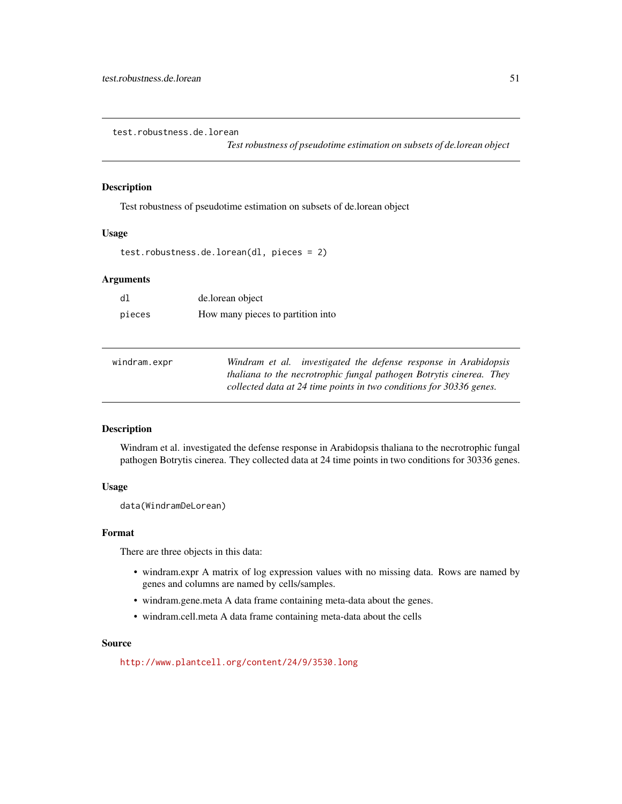<span id="page-50-0"></span>test.robustness.de.lorean

*Test robustness of pseudotime estimation on subsets of de.lorean object*

#### Description

Test robustness of pseudotime estimation on subsets of de.lorean object

## Usage

test.robustness.de.lorean(dl, pieces = 2)

#### Arguments

| dl     | de.lorean object                  |
|--------|-----------------------------------|
| pieces | How many pieces to partition into |

| windram.expr | Windram et al. investigated the defense response in Arabidopsis     |
|--------------|---------------------------------------------------------------------|
|              | thaliana to the necrotrophic fungal pathogen Botrytis cinerea. They |
|              | collected data at 24 time points in two conditions for 30336 genes. |

## Description

Windram et al. investigated the defense response in Arabidopsis thaliana to the necrotrophic fungal pathogen Botrytis cinerea. They collected data at 24 time points in two conditions for 30336 genes.

#### Usage

data(WindramDeLorean)

#### Format

There are three objects in this data:

- windram.expr A matrix of log expression values with no missing data. Rows are named by genes and columns are named by cells/samples.
- windram.gene.meta A data frame containing meta-data about the genes.
- windram.cell.meta A data frame containing meta-data about the cells

#### Source

<http://www.plantcell.org/content/24/9/3530.long>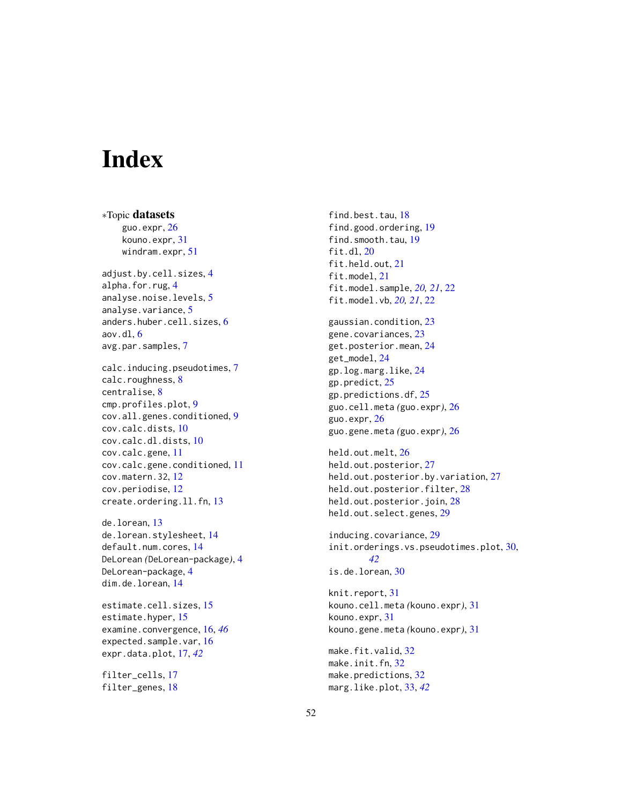# <span id="page-51-0"></span>**Index**

∗Topic datasets guo.expr, [26](#page-25-0) kouno.expr, [31](#page-30-0) windram.expr, [51](#page-50-0) adjust.by.cell.sizes, [4](#page-3-0) alpha.for.rug, [4](#page-3-0) analyse.noise.levels, [5](#page-4-0) analyse.variance, [5](#page-4-0) anders.huber.cell.sizes, [6](#page-5-0) aov.dl, [6](#page-5-0) avg.par.samples, [7](#page-6-0) calc.inducing.pseudotimes, [7](#page-6-0) calc.roughness, [8](#page-7-0) centralise, [8](#page-7-0) cmp.profiles.plot, [9](#page-8-0) cov.all.genes.conditioned, [9](#page-8-0) cov.calc.dists, [10](#page-9-0) cov.calc.dl.dists, [10](#page-9-0) cov.calc.gene, [11](#page-10-0) cov.calc.gene.conditioned, [11](#page-10-0) cov.matern.32, [12](#page-11-0) cov.periodise, [12](#page-11-0) create.ordering.ll.fn, [13](#page-12-0) de.lorean, [13](#page-12-0)

de.lorean.stylesheet, [14](#page-13-0) default.num.cores, [14](#page-13-0) DeLorean *(*DeLorean-package*)*, [4](#page-3-0) DeLorean-package, [4](#page-3-0) dim.de.lorean, [14](#page-13-0)

estimate.cell.sizes, [15](#page-14-0) estimate.hyper, [15](#page-14-0) examine.convergence, [16,](#page-15-0) *[46](#page-45-0)* expected.sample.var, [16](#page-15-0) expr.data.plot, [17,](#page-16-0) *[42](#page-41-0)*

filter\_cells, [17](#page-16-0) filter\_genes, [18](#page-17-0)

find.best.tau, [18](#page-17-0) find.good.ordering, [19](#page-18-0) find.smooth.tau, [19](#page-18-0) fit.dl, [20](#page-19-0) fit.held.out, [21](#page-20-0) fit.model, [21](#page-20-0) fit.model.sample, *[20,](#page-19-0) [21](#page-20-0)*, [22](#page-21-0) fit.model.vb, *[20,](#page-19-0) [21](#page-20-0)*, [22](#page-21-0) gaussian.condition, [23](#page-22-0) gene.covariances, [23](#page-22-0) get.posterior.mean, [24](#page-23-0) get\_model, [24](#page-23-0) gp.log.marg.like, [24](#page-23-0) gp.predict, [25](#page-24-0) gp.predictions.df, [25](#page-24-0) guo.cell.meta *(*guo.expr*)*, [26](#page-25-0) guo.expr, [26](#page-25-0) guo.gene.meta *(*guo.expr*)*, [26](#page-25-0) held.out.melt, [26](#page-25-0) held.out.posterior, [27](#page-26-0) held.out.posterior.by.variation, [27](#page-26-0) held.out.posterior.filter, [28](#page-27-0) held.out.posterior.join, [28](#page-27-0) held.out.select.genes, [29](#page-28-0) inducing.covariance, [29](#page-28-0) init.orderings.vs.pseudotimes.plot, [30,](#page-29-0) *[42](#page-41-0)* is.de.lorean, [30](#page-29-0) knit.report, [31](#page-30-0) kouno.cell.meta *(*kouno.expr*)*, [31](#page-30-0) kouno.expr, [31](#page-30-0) kouno.gene.meta *(*kouno.expr*)*, [31](#page-30-0) make.fit.valid, [32](#page-31-0) make.init.fn, [32](#page-31-0) make.predictions, [32](#page-31-0) marg.like.plot, [33,](#page-32-0) *[42](#page-41-0)*